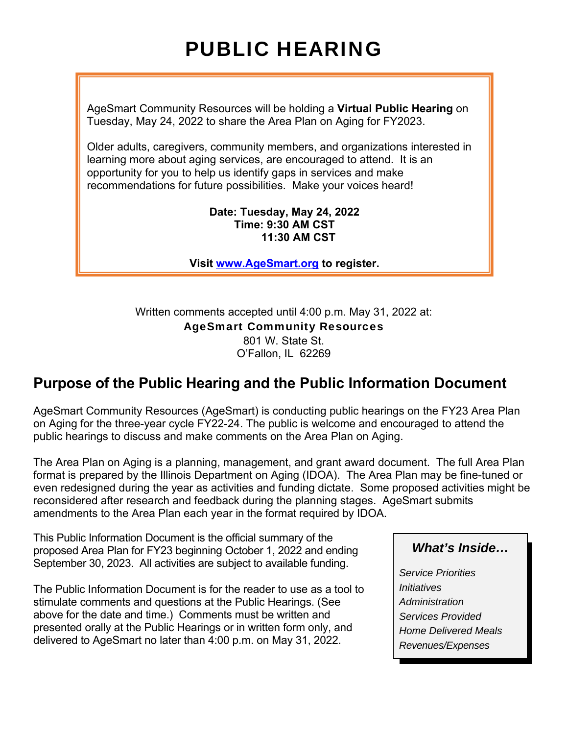# PUBLIC HEARING

AgeSmart Community Resources will be holding a **Virtual Public Hearing** on Tuesday, May 24, 2022 to share the Area Plan on Aging for FY2023.

Older adults, caregivers, community members, and organizations interested in learning more about aging services, are encouraged to attend. It is an opportunity for you to help us identify gaps in services and make recommendations for future possibilities. Make your voices heard!

#### **Date: Tuesday, May 24, 2022 Time: 9:30 AM CST 11:30 AM CST**

**Visit www.AgeSmart.org to register.**

Written comments accepted until 4:00 p.m. May 31, 2022 at: AgeSmart Community Resources 801 W. State St. O'Fallon, IL 62269

# **Purpose of the Public Hearing and the Public Information Document**

AgeSmart Community Resources (AgeSmart) is conducting public hearings on the FY23 Area Plan on Aging for the three-year cycle FY22-24. The public is welcome and encouraged to attend the public hearings to discuss and make comments on the Area Plan on Aging.

The Area Plan on Aging is a planning, management, and grant award document. The full Area Plan format is prepared by the Illinois Department on Aging (IDOA). The Area Plan may be fine-tuned or even redesigned during the year as activities and funding dictate. Some proposed activities might be reconsidered after research and feedback during the planning stages. AgeSmart submits amendments to the Area Plan each year in the format required by IDOA.

This Public Information Document is the official summary of the proposed Area Plan for FY23 beginning October 1, 2022 and ending September 30, 2023. All activities are subject to available funding.

The Public Information Document is for the reader to use as a tool to stimulate comments and questions at the Public Hearings. (See above for the date and time.) Comments must be written and presented orally at the Public Hearings or in written form only, and delivered to AgeSmart no later than 4:00 p.m. on May 31, 2022.

# *What's Inside…*

*Service Priorities Initiatives Administration Services Provided Home Delivered Meals Revenues/Expenses*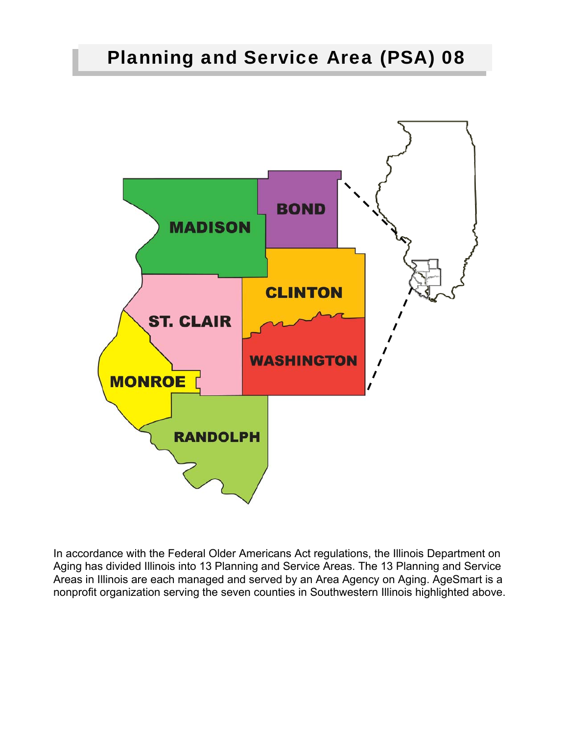# Planning and Service Area (PSA) 08



In accordance with the Federal Older Americans Act regulations, the Illinois Department on Aging has divided Illinois into 13 Planning and Service Areas. The 13 Planning and Service Areas in Illinois are each managed and served by an Area Agency on Aging. AgeSmart is a nonprofit organization serving the seven counties in Southwestern Illinois highlighted above.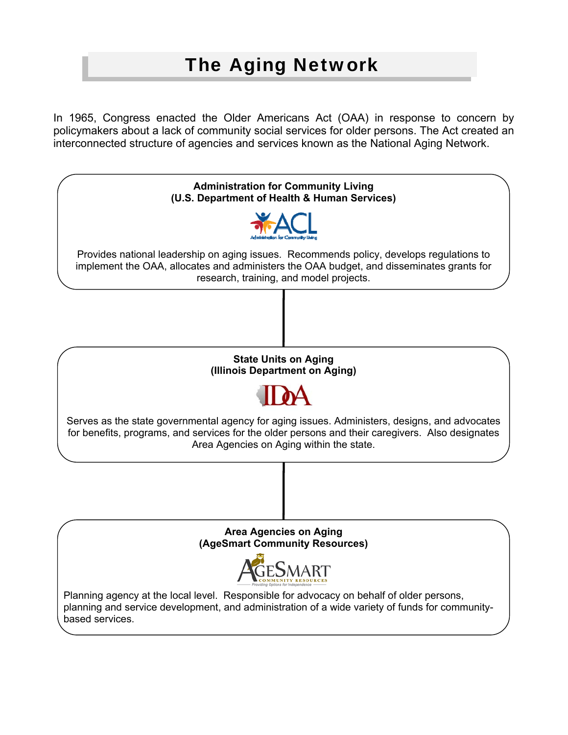# The Aging Network

In 1965, Congress enacted the Older Americans Act (OAA) in response to concern by policymakers about a lack of community social services for older persons. The Act created an interconnected structure of agencies and services known as the National Aging Network.

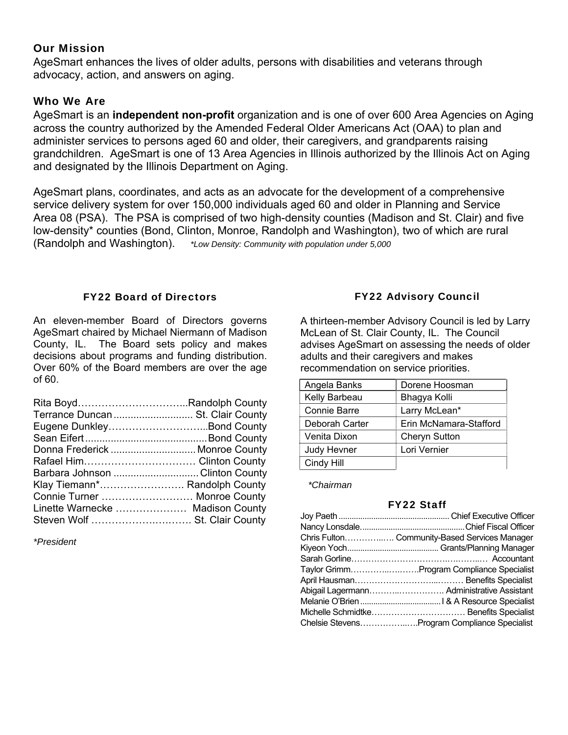#### Our Mission

AgeSmart enhances the lives of older adults, persons with disabilities and veterans through advocacy, action, and answers on aging.

### Who We Are

AgeSmart is an **independent non-profit** organization and is one of over 600 Area Agencies on Aging across the country authorized by the Amended Federal Older Americans Act (OAA) to plan and administer services to persons aged 60 and older, their caregivers, and grandparents raising grandchildren. AgeSmart is one of 13 Area Agencies in Illinois authorized by the Illinois Act on Aging and designated by the Illinois Department on Aging.

AgeSmart plans, coordinates, and acts as an advocate for the development of a comprehensive service delivery system for over 150,000 individuals aged 60 and older in Planning and Service Area 08 (PSA). The PSA is comprised of two high-density counties (Madison and St. Clair) and five low-density\* counties (Bond, Clinton, Monroe, Randolph and Washington), two of which are rural (Randolph and Washington). *\*Low Density: Community with population under 5,000* 

#### FY22 Board of Directors

An eleven-member Board of Directors governs AgeSmart chaired by Michael Niermann of Madison County, IL. The Board sets policy and makes decisions about programs and funding distribution. Over 60% of the Board members are over the age of 60.

| Rita BoydRandolph County         |  |
|----------------------------------|--|
| Terrance Duncan St. Clair County |  |
| Eugene DunkleyBond County        |  |
|                                  |  |
| Donna Frederick  Monroe County   |  |
| Rafael Him Clinton County        |  |
| Barbara Johnson  Clinton County  |  |
| Klay Tiemann* Randolph County    |  |
| Connie Turner  Monroe County     |  |
| Linette Warnecke  Madison County |  |
| Steven Wolf  St. Clair County    |  |
|                                  |  |

*\*President* 

### FY22 Advisory Council

A thirteen-member Advisory Council is led by Larry McLean of St. Clair County, IL. The Council advises AgeSmart on assessing the needs of older adults and their caregivers and makes recommendation on service priorities.

| Angela Banks   | Dorene Hoosman         |
|----------------|------------------------|
| Kelly Barbeau  | Bhagya Kolli           |
| Connie Barre   | Larry McLean*          |
| Deborah Carter | Erin McNamara-Stafford |
| Venita Dixon   | <b>Cheryn Sutton</b>   |
| Judy Hevner    | Lori Vernier           |
| Cindy Hill     |                        |

 *\*Chairman*

#### FY22 Staff

| Chris Fulton Community-Based Services Manager |
|-----------------------------------------------|
|                                               |
|                                               |
| Taylor GrimmProgram Compliance Specialist     |
|                                               |
| Abigail Lagermann Administrative Assistant    |
|                                               |
|                                               |
| Chelsie StevensProgram Compliance Specialist  |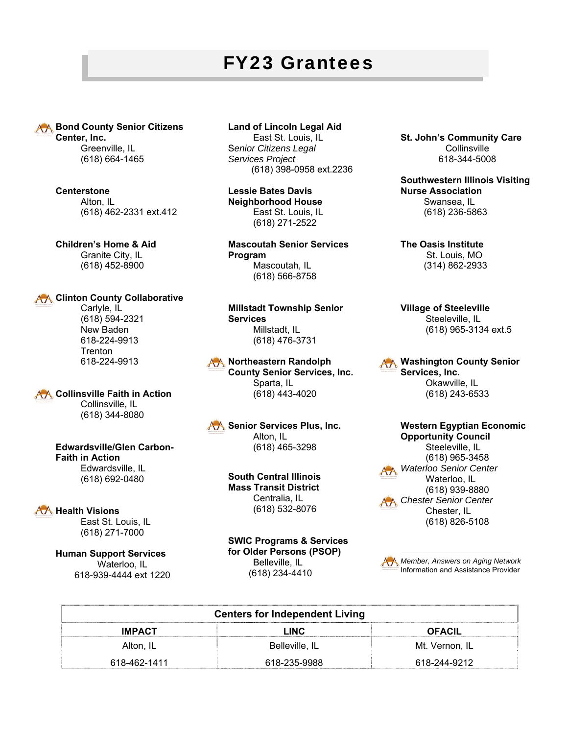# FY23 Grantees

**AA Bond County Senior Citizens Center, Inc.**  Greenville, IL

(618) 664-1465

**Centerstone**  Alton, IL (618) 462-2331 ext.412

**Children's Home & Aid**  Granite City, IL (618) 452-8900

#### **AA Clinton County Collaborative**

 Carlyle, IL (618) 594-2321 New Baden 618-224-9913 Trenton 618-224-9913

**AA Collinsville Faith in Action**  Collinsville, IL (618) 344-8080

#### **Edwardsville/Glen Carbon-Faith in Action**  Edwardsville, IL

(618) 692-0480

#### AA Health Visions

 East St. Louis, IL (618) 271-7000

**Human Support Services**  Waterloo, IL 618-939-4444 ext 1220

#### **Land of Lincoln Legal Aid**

 East St. Louis, IL S*enior Citizens Legal Services Project*  (618) 398-0958 ext.2236

**Lessie Bates Davis Neighborhood House**  East St. Louis, IL (618) 271-2522

**Mascoutah Senior Services Program**  Mascoutah, IL (618) 566-8758

**Millstadt Township Senior Services**  Millstadt, IL (618) 476-3731

AA Northeastern Randolph **County Senior Services, Inc.**  Sparta, IL (618) 443-4020

AA Senior Services Plus, Inc. Alton, IL (618) 465-3298

> **South Central Illinois Mass Transit District**  Centralia, IL (618) 532-8076

**SWIC Programs & Services for Older Persons (PSOP)**  Belleville, IL (618) 234-4410

**St. John's Community Care Collinsville** 618-344-5008

**Southwestern Illinois Visiting Nurse Association**  Swansea, IL (618) 236-5863

**The Oasis Institute**  St. Louis, MO (314) 862-2933

**Village of Steeleville**  Steeleville, IL (618) 965-3134 ext.5

**Washington County Senior Services, Inc.**  Okawville, IL (618) 243-6533

**Western Egyptian Economic Opportunity Council**  Steeleville, IL (618) 965-3458 *Waterloo Senior Center*  Waterloo, IL (618) 939-8880 *Chester Senior Center*  Chester, IL (618) 826-5108



| <b>Centers for Independent Living</b> |                |                |  |  |
|---------------------------------------|----------------|----------------|--|--|
| <b>IMPACT</b>                         | LINC           | <b>OFACIL</b>  |  |  |
| Alton. IL                             | Belleville, IL | Mt. Vernon. IL |  |  |
| 618-462-1411                          | 618-235-9988   | 618-244-9212   |  |  |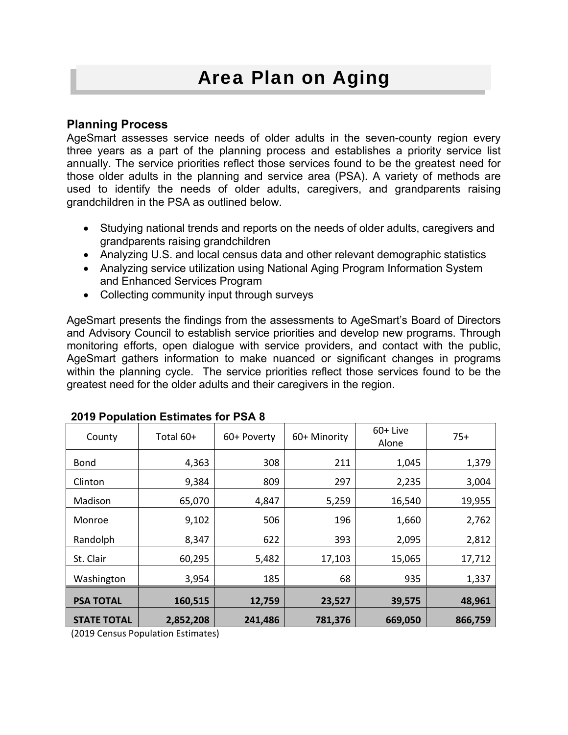# Area Plan on Aging

## **Planning Process**

AgeSmart assesses service needs of older adults in the seven-county region every three years as a part of the planning process and establishes a priority service list annually. The service priorities reflect those services found to be the greatest need for those older adults in the planning and service area (PSA). A variety of methods are used to identify the needs of older adults, caregivers, and grandparents raising grandchildren in the PSA as outlined below.

- Studying national trends and reports on the needs of older adults, caregivers and grandparents raising grandchildren
- Analyzing U.S. and local census data and other relevant demographic statistics
- Analyzing service utilization using National Aging Program Information System and Enhanced Services Program
- Collecting community input through surveys

AgeSmart presents the findings from the assessments to AgeSmart's Board of Directors and Advisory Council to establish service priorities and develop new programs. Through monitoring efforts, open dialogue with service providers, and contact with the public, AgeSmart gathers information to make nuanced or significant changes in programs within the planning cycle. The service priorities reflect those services found to be the greatest need for the older adults and their caregivers in the region.

| County             | Total 60+ | 60+ Poverty | 60+ Minority | $60+$ Live<br>Alone | $75+$   |
|--------------------|-----------|-------------|--------------|---------------------|---------|
| Bond               | 4,363     | 308         | 211          | 1,045               | 1,379   |
| Clinton            | 9,384     | 809         | 297          | 2,235               | 3,004   |
| Madison            | 65,070    | 4,847       | 5,259        | 16,540              | 19,955  |
| Monroe             | 9,102     | 506         | 196          | 1,660               | 2,762   |
| Randolph           | 8,347     | 622         | 393          | 2,095               | 2,812   |
| St. Clair          | 60,295    | 5,482       | 17,103       | 15,065              | 17,712  |
| Washington         | 3,954     | 185         | 68           | 935                 | 1,337   |
| <b>PSA TOTAL</b>   | 160,515   | 12,759      | 23,527       | 39,575              | 48,961  |
| <b>STATE TOTAL</b> | 2,852,208 | 241,486     | 781,376      | 669,050             | 866,759 |

#### **2019 Population Estimates for PSA 8**

(2019 Census Population Estimates)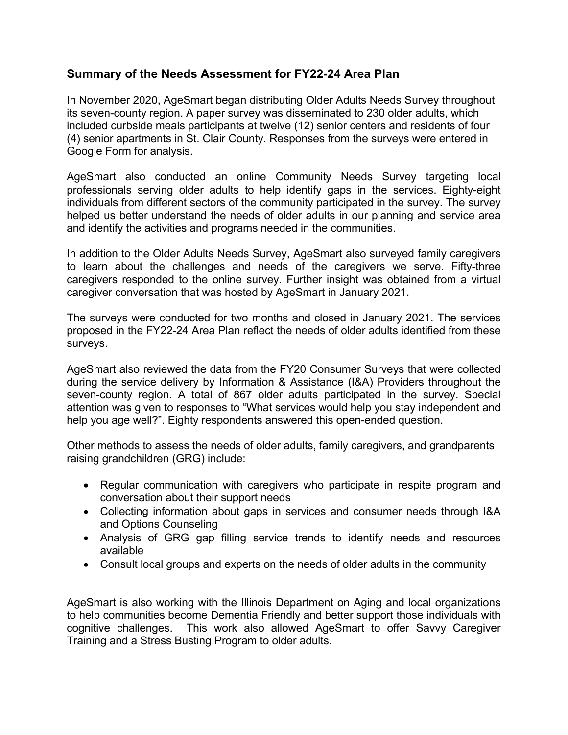## **Summary of the Needs Assessment for FY22-24 Area Plan**

In November 2020, AgeSmart began distributing Older Adults Needs Survey throughout its seven-county region. A paper survey was disseminated to 230 older adults, which included curbside meals participants at twelve (12) senior centers and residents of four (4) senior apartments in St. Clair County. Responses from the surveys were entered in Google Form for analysis.

AgeSmart also conducted an online Community Needs Survey targeting local professionals serving older adults to help identify gaps in the services. Eighty-eight individuals from different sectors of the community participated in the survey. The survey helped us better understand the needs of older adults in our planning and service area and identify the activities and programs needed in the communities.

In addition to the Older Adults Needs Survey, AgeSmart also surveyed family caregivers to learn about the challenges and needs of the caregivers we serve. Fifty-three caregivers responded to the online survey. Further insight was obtained from a virtual caregiver conversation that was hosted by AgeSmart in January 2021.

The surveys were conducted for two months and closed in January 2021. The services proposed in the FY22-24 Area Plan reflect the needs of older adults identified from these surveys.

AgeSmart also reviewed the data from the FY20 Consumer Surveys that were collected during the service delivery by Information & Assistance (I&A) Providers throughout the seven-county region. A total of 867 older adults participated in the survey. Special attention was given to responses to "What services would help you stay independent and help you age well?". Eighty respondents answered this open-ended question.

Other methods to assess the needs of older adults, family caregivers, and grandparents raising grandchildren (GRG) include:

- Regular communication with caregivers who participate in respite program and conversation about their support needs
- Collecting information about gaps in services and consumer needs through I&A and Options Counseling
- Analysis of GRG gap filling service trends to identify needs and resources available
- Consult local groups and experts on the needs of older adults in the community

AgeSmart is also working with the Illinois Department on Aging and local organizations to help communities become Dementia Friendly and better support those individuals with cognitive challenges. This work also allowed AgeSmart to offer Savvy Caregiver Training and a Stress Busting Program to older adults.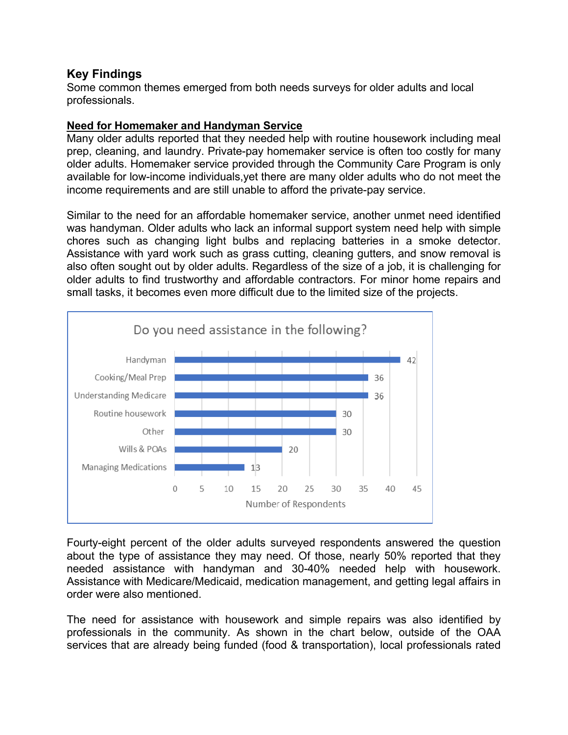## **Key Findings**

Some common themes emerged from both needs surveys for older adults and local professionals.

### **Need for Homemaker and Handyman Service**

Many older adults reported that they needed help with routine housework including meal prep, cleaning, and laundry. Private-pay homemaker service is often too costly for many older adults. Homemaker service provided through the Community Care Program is only available for low-income individuals,yet there are many older adults who do not meet the income requirements and are still unable to afford the private-pay service.

Similar to the need for an affordable homemaker service, another unmet need identified was handyman. Older adults who lack an informal support system need help with simple chores such as changing light bulbs and replacing batteries in a smoke detector. Assistance with yard work such as grass cutting, cleaning gutters, and snow removal is also often sought out by older adults. Regardless of the size of a job, it is challenging for older adults to find trustworthy and affordable contractors. For minor home repairs and small tasks, it becomes even more difficult due to the limited size of the projects.



Fourty-eight percent of the older adults surveyed respondents answered the question about the type of assistance they may need. Of those, nearly 50% reported that they needed assistance with handyman and 30-40% needed help with housework. Assistance with Medicare/Medicaid, medication management, and getting legal affairs in order were also mentioned.

The need for assistance with housework and simple repairs was also identified by professionals in the community. As shown in the chart below, outside of the OAA services that are already being funded (food & transportation), local professionals rated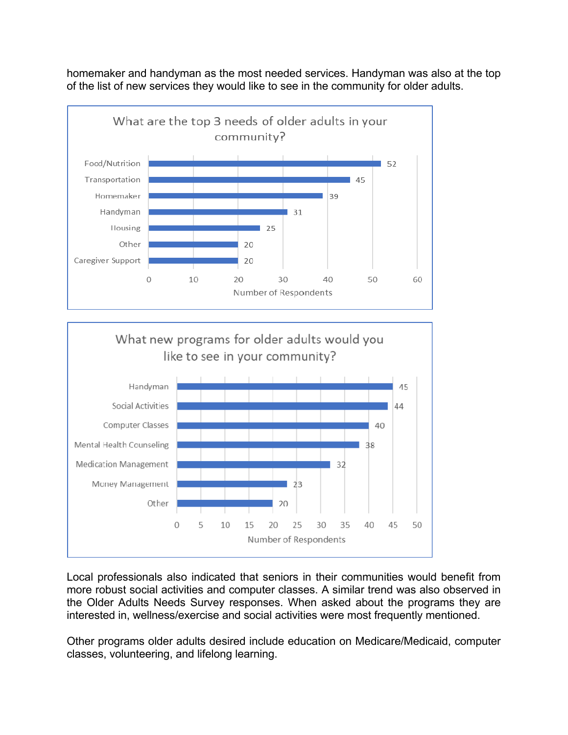homemaker and handyman as the most needed services. Handyman was also at the top of the list of new services they would like to see in the community for older adults.



Local professionals also indicated that seniors in their communities would benefit from more robust social activities and computer classes. A similar trend was also observed in the Older Adults Needs Survey responses. When asked about the programs they are interested in, wellness/exercise and social activities were most frequently mentioned.

Other programs older adults desired include education on Medicare/Medicaid, computer classes, volunteering, and lifelong learning.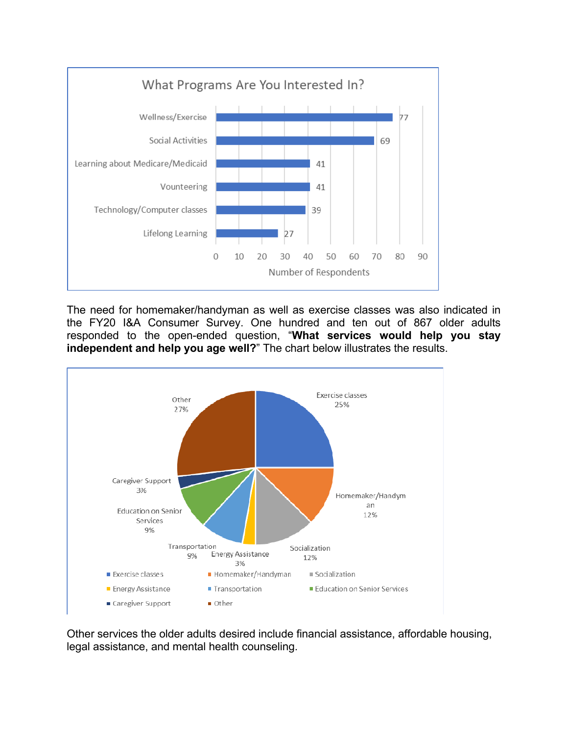

The need for homemaker/handyman as well as exercise classes was also indicated in the FY20 I&A Consumer Survey. One hundred and ten out of 867 older adults responded to the open-ended question, "**What services would help you stay independent and help you age well?**" The chart below illustrates the results.



Other services the older adults desired include financial assistance, affordable housing, legal assistance, and mental health counseling.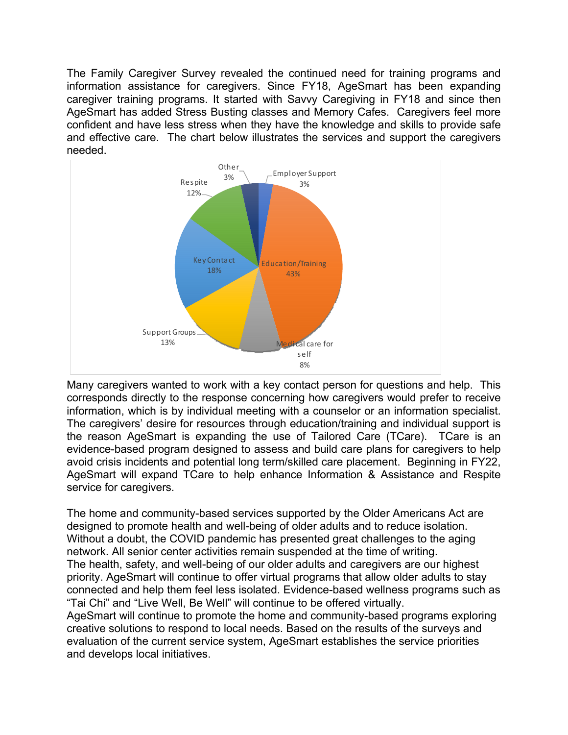The Family Caregiver Survey revealed the continued need for training programs and information assistance for caregivers. Since FY18, AgeSmart has been expanding caregiver training programs. It started with Savvy Caregiving in FY18 and since then AgeSmart has added Stress Busting classes and Memory Cafes. Caregivers feel more confident and have less stress when they have the knowledge and skills to provide safe and effective care. The chart below illustrates the services and support the caregivers needed.



 Many caregivers wanted to work with a key contact person for questions and help. This corresponds directly to the response concerning how caregivers would prefer to receive information, which is by individual meeting with a counselor or an information specialist. The caregivers' desire for resources through education/training and individual support is the reason AgeSmart is expanding the use of Tailored Care (TCare). TCare is an evidence-based program designed to assess and build care plans for caregivers to help avoid crisis incidents and potential long term/skilled care placement. Beginning in FY22, AgeSmart will expand TCare to help enhance Information & Assistance and Respite service for caregivers.

The home and community-based services supported by the Older Americans Act are designed to promote health and well-being of older adults and to reduce isolation. Without a doubt, the COVID pandemic has presented great challenges to the aging network. All senior center activities remain suspended at the time of writing. The health, safety, and well-being of our older adults and caregivers are our highest priority. AgeSmart will continue to offer virtual programs that allow older adults to stay connected and help them feel less isolated. Evidence-based wellness programs such as "Tai Chi" and "Live Well, Be Well" will continue to be offered virtually.

AgeSmart will continue to promote the home and community-based programs exploring creative solutions to respond to local needs. Based on the results of the surveys and evaluation of the current service system, AgeSmart establishes the service priorities and develops local initiatives.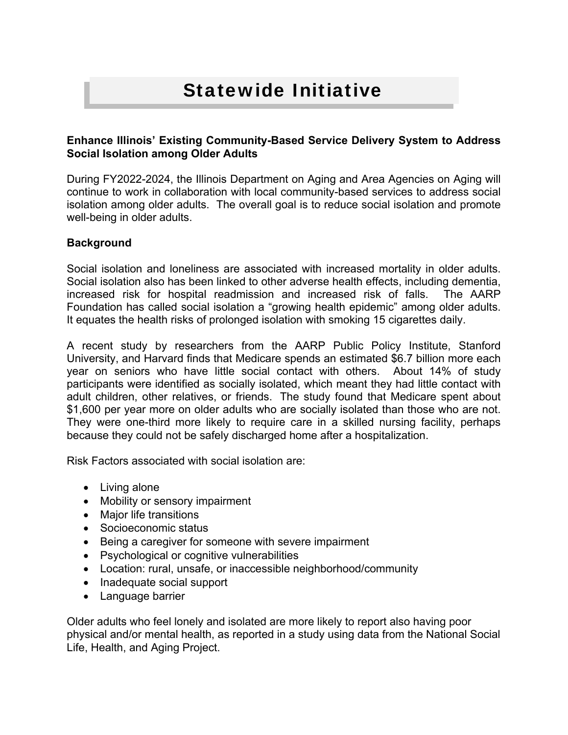# Statewide Initiative

#### **Enhance Illinois' Existing Community-Based Service Delivery System to Address Social Isolation among Older Adults**

During FY2022-2024, the Illinois Department on Aging and Area Agencies on Aging will continue to work in collaboration with local community-based services to address social isolation among older adults. The overall goal is to reduce social isolation and promote well-being in older adults.

#### **Background**

Social isolation and loneliness are associated with increased mortality in older adults. Social isolation also has been linked to other adverse health effects, including dementia, increased risk for hospital readmission and increased risk of falls. The AARP Foundation has called social isolation a "growing health epidemic" among older adults. It equates the health risks of prolonged isolation with smoking 15 cigarettes daily.

A recent study by researchers from the AARP Public Policy Institute, Stanford University, and Harvard finds that Medicare spends an estimated \$6.7 billion more each year on seniors who have little social contact with others. About 14% of study participants were identified as socially isolated, which meant they had little contact with adult children, other relatives, or friends. The study found that Medicare spent about \$1,600 per year more on older adults who are socially isolated than those who are not. They were one-third more likely to require care in a skilled nursing facility, perhaps because they could not be safely discharged home after a hospitalization.

Risk Factors associated with social isolation are:

- Living alone
- Mobility or sensory impairment
- Major life transitions
- Socioeconomic status
- Being a caregiver for someone with severe impairment
- Psychological or cognitive vulnerabilities
- Location: rural, unsafe, or inaccessible neighborhood/community
- Inadequate social support
- Language barrier

Older adults who feel lonely and isolated are more likely to report also having poor physical and/or mental health, as reported in a study using data from the National Social Life, Health, and Aging Project.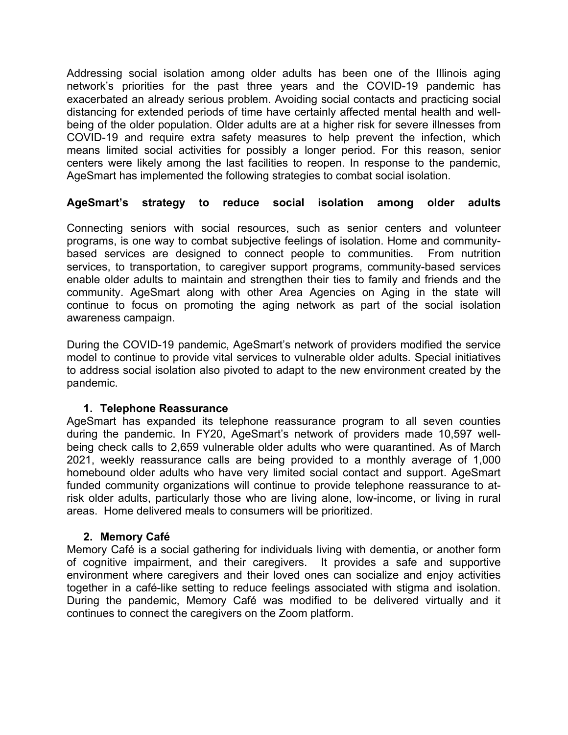Addressing social isolation among older adults has been one of the Illinois aging network's priorities for the past three years and the COVID-19 pandemic has exacerbated an already serious problem. Avoiding social contacts and practicing social distancing for extended periods of time have certainly affected mental health and wellbeing of the older population. Older adults are at a higher risk for severe illnesses from COVID-19 and require extra safety measures to help prevent the infection, which means limited social activities for possibly a longer period. For this reason, senior centers were likely among the last facilities to reopen. In response to the pandemic, AgeSmart has implemented the following strategies to combat social isolation.

#### **AgeSmart's strategy to reduce social isolation among older adults**

Connecting seniors with social resources, such as senior centers and volunteer programs, is one way to combat subjective feelings of isolation. Home and communitybased services are designed to connect people to communities. From nutrition services, to transportation, to caregiver support programs, community-based services enable older adults to maintain and strengthen their ties to family and friends and the community. AgeSmart along with other Area Agencies on Aging in the state will continue to focus on promoting the aging network as part of the social isolation awareness campaign.

During the COVID-19 pandemic, AgeSmart's network of providers modified the service model to continue to provide vital services to vulnerable older adults. Special initiatives to address social isolation also pivoted to adapt to the new environment created by the pandemic.

#### **1. Telephone Reassurance**

AgeSmart has expanded its telephone reassurance program to all seven counties during the pandemic. In FY20, AgeSmart's network of providers made 10,597 wellbeing check calls to 2,659 vulnerable older adults who were quarantined. As of March 2021, weekly reassurance calls are being provided to a monthly average of 1,000 homebound older adults who have very limited social contact and support. AgeSmart funded community organizations will continue to provide telephone reassurance to atrisk older adults, particularly those who are living alone, low-income, or living in rural areas. Home delivered meals to consumers will be prioritized.

#### **2. Memory Café**

Memory Café is a social gathering for individuals living with dementia, or another form of cognitive impairment, and their caregivers. It provides a safe and supportive environment where caregivers and their loved ones can socialize and enjoy activities together in a café-like setting to reduce feelings associated with stigma and isolation. During the pandemic, Memory Café was modified to be delivered virtually and it continues to connect the caregivers on the Zoom platform.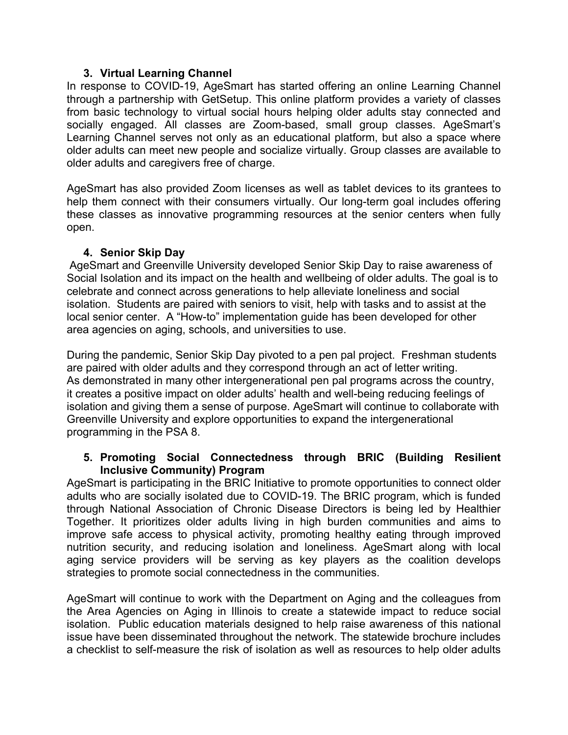#### **3. Virtual Learning Channel**

In response to COVID-19, AgeSmart has started offering an online Learning Channel through a partnership with GetSetup. This online platform provides a variety of classes from basic technology to virtual social hours helping older adults stay connected and socially engaged. All classes are Zoom-based, small group classes. AgeSmart's Learning Channel serves not only as an educational platform, but also a space where older adults can meet new people and socialize virtually. Group classes are available to older adults and caregivers free of charge.

AgeSmart has also provided Zoom licenses as well as tablet devices to its grantees to help them connect with their consumers virtually. Our long-term goal includes offering these classes as innovative programming resources at the senior centers when fully open.

#### **4. Senior Skip Day**

AgeSmart and Greenville University developed Senior Skip Day to raise awareness of Social Isolation and its impact on the health and wellbeing of older adults. The goal is to celebrate and connect across generations to help alleviate loneliness and social isolation. Students are paired with seniors to visit, help with tasks and to assist at the local senior center. A "How-to" implementation guide has been developed for other area agencies on aging, schools, and universities to use.

During the pandemic, Senior Skip Day pivoted to a pen pal project. Freshman students are paired with older adults and they correspond through an act of letter writing. As demonstrated in many other intergenerational pen pal programs across the country, it creates a positive impact on older adults' health and well-being reducing feelings of isolation and giving them a sense of purpose. AgeSmart will continue to collaborate with Greenville University and explore opportunities to expand the intergenerational programming in the PSA 8.

#### **5. Promoting Social Connectedness through BRIC (Building Resilient Inclusive Community) Program**

AgeSmart is participating in the BRIC Initiative to promote opportunities to connect older adults who are socially isolated due to COVID-19. The BRIC program, which is funded through National Association of Chronic Disease Directors is being led by Healthier Together. It prioritizes older adults living in high burden communities and aims to improve safe access to physical activity, promoting healthy eating through improved nutrition security, and reducing isolation and loneliness. AgeSmart along with local aging service providers will be serving as key players as the coalition develops strategies to promote social connectedness in the communities.

AgeSmart will continue to work with the Department on Aging and the colleagues from the Area Agencies on Aging in Illinois to create a statewide impact to reduce social isolation. Public education materials designed to help raise awareness of this national issue have been disseminated throughout the network. The statewide brochure includes a checklist to self-measure the risk of isolation as well as resources to help older adults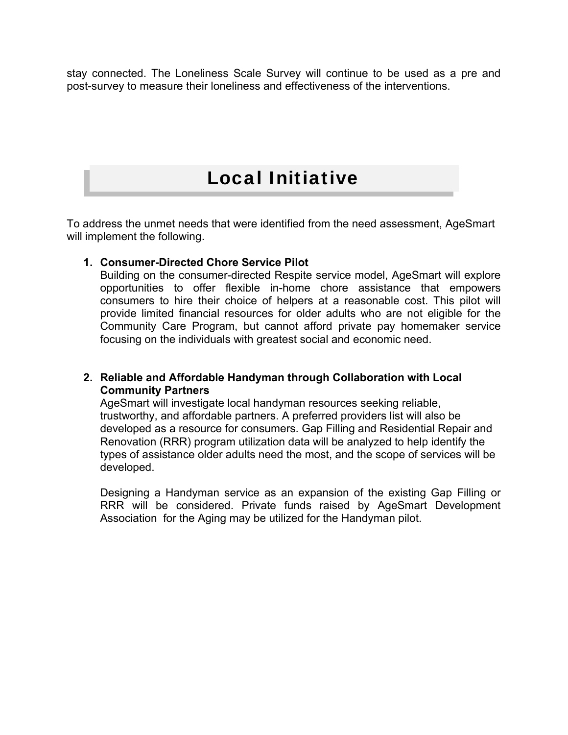stay connected. The Loneliness Scale Survey will continue to be used as a pre and post-survey to measure their loneliness and effectiveness of the interventions.

# Local Initiative

To address the unmet needs that were identified from the need assessment, AgeSmart will implement the following.

#### **1. Consumer-Directed Chore Service Pilot**

Building on the consumer-directed Respite service model, AgeSmart will explore opportunities to offer flexible in-home chore assistance that empowers consumers to hire their choice of helpers at a reasonable cost. This pilot will provide limited financial resources for older adults who are not eligible for the Community Care Program, but cannot afford private pay homemaker service focusing on the individuals with greatest social and economic need.

#### **2. Reliable and Affordable Handyman through Collaboration with Local Community Partners**

AgeSmart will investigate local handyman resources seeking reliable, trustworthy, and affordable partners. A preferred providers list will also be developed as a resource for consumers. Gap Filling and Residential Repair and Renovation (RRR) program utilization data will be analyzed to help identify the types of assistance older adults need the most, and the scope of services will be developed.

Designing a Handyman service as an expansion of the existing Gap Filling or RRR will be considered. Private funds raised by AgeSmart Development Association for the Aging may be utilized for the Handyman pilot.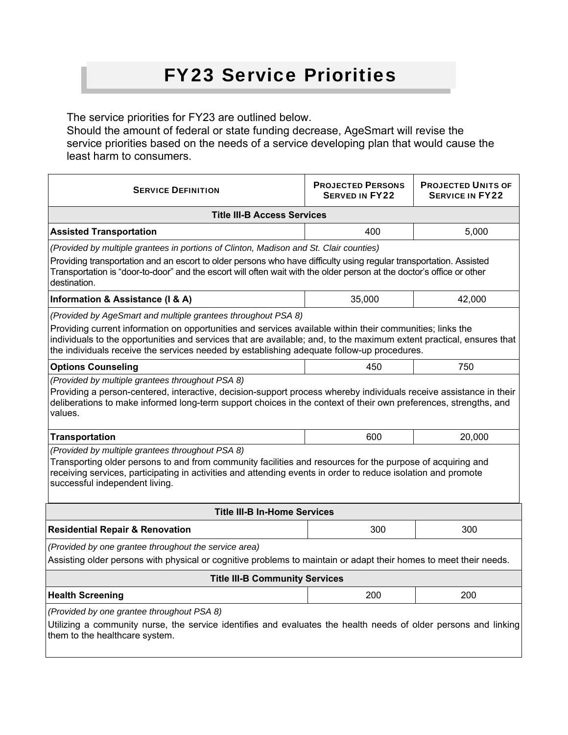# FY23 Service Priorities

The service priorities for FY23 are outlined below.

Should the amount of federal or state funding decrease, AgeSmart will revise the service priorities based on the needs of a service developing plan that would cause the least harm to consumers.

| <b>SERVICE DEFINITION</b>                                                                                                                                                                                                                                                                                         | <b>PROJECTED PERSONS</b><br><b>SERVED IN FY22</b> | <b>PROJECTED UNITS OF</b><br><b>SERVICE IN FY22</b> |  |  |  |  |
|-------------------------------------------------------------------------------------------------------------------------------------------------------------------------------------------------------------------------------------------------------------------------------------------------------------------|---------------------------------------------------|-----------------------------------------------------|--|--|--|--|
| <b>Title III-B Access Services</b>                                                                                                                                                                                                                                                                                |                                                   |                                                     |  |  |  |  |
| <b>Assisted Transportation</b>                                                                                                                                                                                                                                                                                    | 400<br>5,000                                      |                                                     |  |  |  |  |
| (Provided by multiple grantees in portions of Clinton, Madison and St. Clair counties)                                                                                                                                                                                                                            |                                                   |                                                     |  |  |  |  |
| Providing transportation and an escort to older persons who have difficulty using regular transportation. Assisted<br>Transportation is "door-to-door" and the escort will often wait with the older person at the doctor's office or other<br>destination.                                                       |                                                   |                                                     |  |  |  |  |
| Information & Assistance (I & A)                                                                                                                                                                                                                                                                                  | 35,000                                            | 42,000                                              |  |  |  |  |
| (Provided by AgeSmart and multiple grantees throughout PSA 8)                                                                                                                                                                                                                                                     |                                                   |                                                     |  |  |  |  |
| Providing current information on opportunities and services available within their communities; links the                                                                                                                                                                                                         |                                                   |                                                     |  |  |  |  |
| individuals to the opportunities and services that are available; and, to the maximum extent practical, ensures that<br>the individuals receive the services needed by establishing adequate follow-up procedures.                                                                                                |                                                   |                                                     |  |  |  |  |
| <b>Options Counseling</b>                                                                                                                                                                                                                                                                                         | 450                                               | 750                                                 |  |  |  |  |
| Providing a person-centered, interactive, decision-support process whereby individuals receive assistance in their<br>deliberations to make informed long-term support choices in the context of their own preferences, strengths, and<br>values.                                                                 |                                                   |                                                     |  |  |  |  |
| <b>Transportation</b>                                                                                                                                                                                                                                                                                             | 600                                               | 20,000                                              |  |  |  |  |
| (Provided by multiple grantees throughout PSA 8)<br>Transporting older persons to and from community facilities and resources for the purpose of acquiring and<br>receiving services, participating in activities and attending events in order to reduce isolation and promote<br>successful independent living. |                                                   |                                                     |  |  |  |  |
| <b>Title III-B In-Home Services</b>                                                                                                                                                                                                                                                                               |                                                   |                                                     |  |  |  |  |
| <b>Residential Repair &amp; Renovation</b>                                                                                                                                                                                                                                                                        | 300                                               | 300                                                 |  |  |  |  |
| (Provided by one grantee throughout the service area)                                                                                                                                                                                                                                                             |                                                   |                                                     |  |  |  |  |
| Assisting older persons with physical or cognitive problems to maintain or adapt their homes to meet their needs.                                                                                                                                                                                                 |                                                   |                                                     |  |  |  |  |
| <b>Title III-B Community Services</b>                                                                                                                                                                                                                                                                             |                                                   |                                                     |  |  |  |  |
| <b>Health Screening</b>                                                                                                                                                                                                                                                                                           | 200                                               | 200                                                 |  |  |  |  |
| (Provided by one grantee throughout PSA 8)                                                                                                                                                                                                                                                                        |                                                   |                                                     |  |  |  |  |
| Utilizing a community nurse, the service identifies and evaluates the health needs of older persons and linking<br>them to the healthcare system.                                                                                                                                                                 |                                                   |                                                     |  |  |  |  |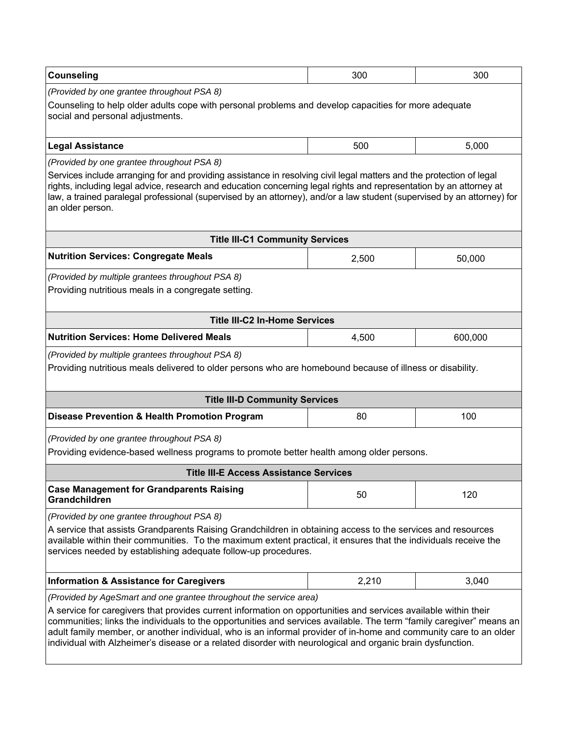| <b>Counseling</b>                                                                                                                                                                                                                                                                                                                                                                                                                                                          | 300          | 300     |  |  |  |  |  |  |
|----------------------------------------------------------------------------------------------------------------------------------------------------------------------------------------------------------------------------------------------------------------------------------------------------------------------------------------------------------------------------------------------------------------------------------------------------------------------------|--------------|---------|--|--|--|--|--|--|
| (Provided by one grantee throughout PSA 8)                                                                                                                                                                                                                                                                                                                                                                                                                                 |              |         |  |  |  |  |  |  |
| Counseling to help older adults cope with personal problems and develop capacities for more adequate<br>social and personal adjustments.                                                                                                                                                                                                                                                                                                                                   |              |         |  |  |  |  |  |  |
| <b>Legal Assistance</b>                                                                                                                                                                                                                                                                                                                                                                                                                                                    | 500<br>5,000 |         |  |  |  |  |  |  |
| (Provided by one grantee throughout PSA 8)                                                                                                                                                                                                                                                                                                                                                                                                                                 |              |         |  |  |  |  |  |  |
| Services include arranging for and providing assistance in resolving civil legal matters and the protection of legal<br>rights, including legal advice, research and education concerning legal rights and representation by an attorney at<br>law, a trained paralegal professional (supervised by an attorney), and/or a law student (supervised by an attorney) for<br>an older person.                                                                                 |              |         |  |  |  |  |  |  |
| <b>Title III-C1 Community Services</b>                                                                                                                                                                                                                                                                                                                                                                                                                                     |              |         |  |  |  |  |  |  |
| <b>Nutrition Services: Congregate Meals</b>                                                                                                                                                                                                                                                                                                                                                                                                                                | 2,500        | 50,000  |  |  |  |  |  |  |
| (Provided by multiple grantees throughout PSA 8)                                                                                                                                                                                                                                                                                                                                                                                                                           |              |         |  |  |  |  |  |  |
| Providing nutritious meals in a congregate setting.                                                                                                                                                                                                                                                                                                                                                                                                                        |              |         |  |  |  |  |  |  |
| <b>Title III-C2 In-Home Services</b>                                                                                                                                                                                                                                                                                                                                                                                                                                       |              |         |  |  |  |  |  |  |
| <b>Nutrition Services: Home Delivered Meals</b>                                                                                                                                                                                                                                                                                                                                                                                                                            | 4,500        | 600,000 |  |  |  |  |  |  |
| (Provided by multiple grantees throughout PSA 8)<br>Providing nutritious meals delivered to older persons who are homebound because of illness or disability.                                                                                                                                                                                                                                                                                                              |              |         |  |  |  |  |  |  |
| <b>Title III-D Community Services</b>                                                                                                                                                                                                                                                                                                                                                                                                                                      |              |         |  |  |  |  |  |  |
| Disease Prevention & Health Promotion Program                                                                                                                                                                                                                                                                                                                                                                                                                              | 80           | 100     |  |  |  |  |  |  |
| (Provided by one grantee throughout PSA 8)                                                                                                                                                                                                                                                                                                                                                                                                                                 |              |         |  |  |  |  |  |  |
| Providing evidence-based wellness programs to promote better health among older persons.                                                                                                                                                                                                                                                                                                                                                                                   |              |         |  |  |  |  |  |  |
| <b>Title III-E Access Assistance Services</b>                                                                                                                                                                                                                                                                                                                                                                                                                              |              |         |  |  |  |  |  |  |
| <b>Case Management for Grandparents Raising</b><br>Grandchildren                                                                                                                                                                                                                                                                                                                                                                                                           | 50           | 120     |  |  |  |  |  |  |
| (Provided by one grantee throughout PSA 8)                                                                                                                                                                                                                                                                                                                                                                                                                                 |              |         |  |  |  |  |  |  |
| A service that assists Grandparents Raising Grandchildren in obtaining access to the services and resources<br>available within their communities. To the maximum extent practical, it ensures that the individuals receive the<br>services needed by establishing adequate follow-up procedures.                                                                                                                                                                          |              |         |  |  |  |  |  |  |
| <b>Information &amp; Assistance for Caregivers</b>                                                                                                                                                                                                                                                                                                                                                                                                                         | 2,210        | 3,040   |  |  |  |  |  |  |
| (Provided by AgeSmart and one grantee throughout the service area)                                                                                                                                                                                                                                                                                                                                                                                                         |              |         |  |  |  |  |  |  |
| A service for caregivers that provides current information on opportunities and services available within their<br>communities; links the individuals to the opportunities and services available. The term "family caregiver" means an<br>adult family member, or another individual, who is an informal provider of in-home and community care to an older<br>individual with Alzheimer's disease or a related disorder with neurological and organic brain dysfunction. |              |         |  |  |  |  |  |  |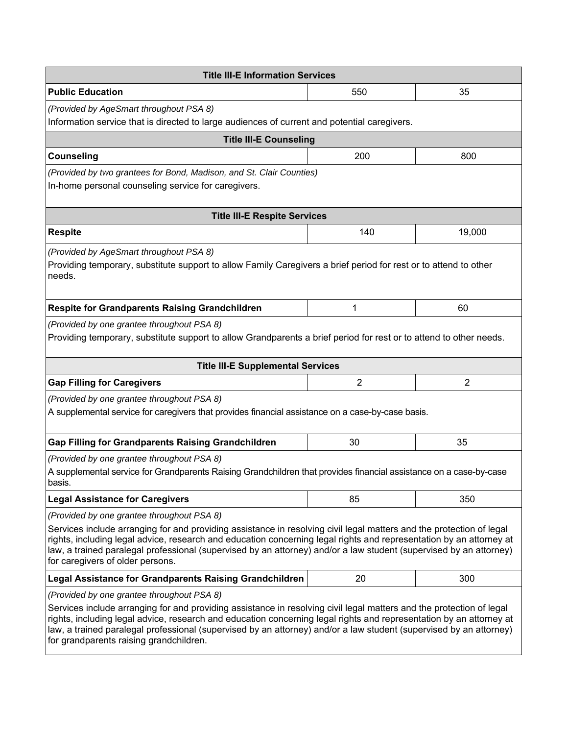| <b>Title III-E Information Services</b>                                                                                                                                                                                                                                                                                                                                                                      |                |                |  |  |  |
|--------------------------------------------------------------------------------------------------------------------------------------------------------------------------------------------------------------------------------------------------------------------------------------------------------------------------------------------------------------------------------------------------------------|----------------|----------------|--|--|--|
| <b>Public Education</b>                                                                                                                                                                                                                                                                                                                                                                                      | 550            | 35             |  |  |  |
| (Provided by AgeSmart throughout PSA 8)                                                                                                                                                                                                                                                                                                                                                                      |                |                |  |  |  |
| Information service that is directed to large audiences of current and potential caregivers.                                                                                                                                                                                                                                                                                                                 |                |                |  |  |  |
| <b>Title III-E Counseling</b>                                                                                                                                                                                                                                                                                                                                                                                |                |                |  |  |  |
| <b>Counseling</b>                                                                                                                                                                                                                                                                                                                                                                                            | 200            | 800            |  |  |  |
| (Provided by two grantees for Bond, Madison, and St. Clair Counties)<br>In-home personal counseling service for caregivers.                                                                                                                                                                                                                                                                                  |                |                |  |  |  |
| <b>Title III-E Respite Services</b>                                                                                                                                                                                                                                                                                                                                                                          |                |                |  |  |  |
| <b>Respite</b>                                                                                                                                                                                                                                                                                                                                                                                               | 140            | 19,000         |  |  |  |
| (Provided by AgeSmart throughout PSA 8)                                                                                                                                                                                                                                                                                                                                                                      |                |                |  |  |  |
| Providing temporary, substitute support to allow Family Caregivers a brief period for rest or to attend to other<br>needs.                                                                                                                                                                                                                                                                                   |                |                |  |  |  |
| <b>Respite for Grandparents Raising Grandchildren</b>                                                                                                                                                                                                                                                                                                                                                        | 1              | 60             |  |  |  |
| (Provided by one grantee throughout PSA 8)<br>Providing temporary, substitute support to allow Grandparents a brief period for rest or to attend to other needs.                                                                                                                                                                                                                                             |                |                |  |  |  |
| <b>Title III-E Supplemental Services</b>                                                                                                                                                                                                                                                                                                                                                                     |                |                |  |  |  |
| <b>Gap Filling for Caregivers</b>                                                                                                                                                                                                                                                                                                                                                                            | $\overline{2}$ | $\overline{2}$ |  |  |  |
| (Provided by one grantee throughout PSA 8)<br>A supplemental service for caregivers that provides financial assistance on a case-by-case basis.                                                                                                                                                                                                                                                              |                |                |  |  |  |
| <b>Gap Filling for Grandparents Raising Grandchildren</b>                                                                                                                                                                                                                                                                                                                                                    | 30             | 35             |  |  |  |
| (Provided by one grantee throughout PSA 8)                                                                                                                                                                                                                                                                                                                                                                   |                |                |  |  |  |
| A supplemental service for Grandparents Raising Grandchildren that provides financial assistance on a case-by-case<br>basis.                                                                                                                                                                                                                                                                                 |                |                |  |  |  |
| <b>Legal Assistance for Caregivers</b>                                                                                                                                                                                                                                                                                                                                                                       | 85             | 350            |  |  |  |
| (Provided by one grantee throughout PSA 8)                                                                                                                                                                                                                                                                                                                                                                   |                |                |  |  |  |
| Services include arranging for and providing assistance in resolving civil legal matters and the protection of legal<br>rights, including legal advice, research and education concerning legal rights and representation by an attorney at<br>law, a trained paralegal professional (supervised by an attorney) and/or a law student (supervised by an attorney)<br>for caregivers of older persons.        |                |                |  |  |  |
| <b>Legal Assistance for Grandparents Raising Grandchildren</b>                                                                                                                                                                                                                                                                                                                                               | 20             | 300            |  |  |  |
| (Provided by one grantee throughout PSA 8)                                                                                                                                                                                                                                                                                                                                                                   |                |                |  |  |  |
| Services include arranging for and providing assistance in resolving civil legal matters and the protection of legal<br>rights, including legal advice, research and education concerning legal rights and representation by an attorney at<br>law, a trained paralegal professional (supervised by an attorney) and/or a law student (supervised by an attorney)<br>for grandparents raising grandchildren. |                |                |  |  |  |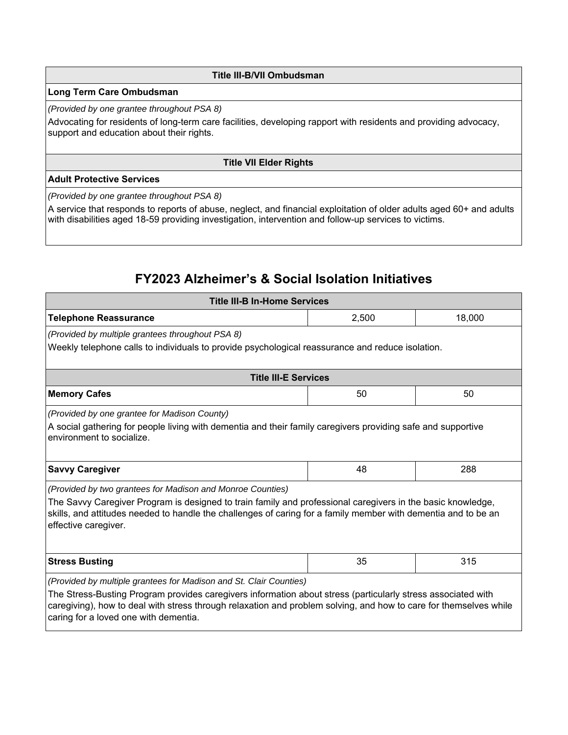#### **Title III-B/VII Ombudsman**

#### **Long Term Care Ombudsman**

#### *(Provided by one grantee throughout PSA 8)*

Advocating for residents of long-term care facilities, developing rapport with residents and providing advocacy, support and education about their rights.

#### **Title VII Elder Rights**

#### **Adult Protective Services**

*(Provided by one grantee throughout PSA 8)* 

A service that responds to reports of abuse, neglect, and financial exploitation of older adults aged 60+ and adults with disabilities aged 18-59 providing investigation, intervention and follow-up services to victims.

# **FY2023 Alzheimer's & Social Isolation Initiatives**

| <b>Title III-B In-Home Services</b>                                                                                                                                                                                                                                        |    |     |  |  |  |  |
|----------------------------------------------------------------------------------------------------------------------------------------------------------------------------------------------------------------------------------------------------------------------------|----|-----|--|--|--|--|
| 18,000<br><b>Telephone Reassurance</b><br>2,500                                                                                                                                                                                                                            |    |     |  |  |  |  |
| (Provided by multiple grantees throughout PSA 8)                                                                                                                                                                                                                           |    |     |  |  |  |  |
| Weekly telephone calls to individuals to provide psychological reassurance and reduce isolation.                                                                                                                                                                           |    |     |  |  |  |  |
|                                                                                                                                                                                                                                                                            |    |     |  |  |  |  |
| <b>Title III-E Services</b>                                                                                                                                                                                                                                                |    |     |  |  |  |  |
| <b>Memory Cafes</b>                                                                                                                                                                                                                                                        | 50 | 50  |  |  |  |  |
| (Provided by one grantee for Madison County)                                                                                                                                                                                                                               |    |     |  |  |  |  |
| A social gathering for people living with dementia and their family caregivers providing safe and supportive<br>environment to socialize.                                                                                                                                  |    |     |  |  |  |  |
|                                                                                                                                                                                                                                                                            |    |     |  |  |  |  |
| <b>Savvy Caregiver</b>                                                                                                                                                                                                                                                     | 48 | 288 |  |  |  |  |
| (Provided by two grantees for Madison and Monroe Counties)                                                                                                                                                                                                                 |    |     |  |  |  |  |
| The Savvy Caregiver Program is designed to train family and professional caregivers in the basic knowledge,<br>skills, and attitudes needed to handle the challenges of caring for a family member with dementia and to be an<br>effective caregiver.                      |    |     |  |  |  |  |
|                                                                                                                                                                                                                                                                            |    |     |  |  |  |  |
| <b>Stress Busting</b>                                                                                                                                                                                                                                                      | 35 | 315 |  |  |  |  |
| (Provided by multiple grantees for Madison and St. Clair Counties)                                                                                                                                                                                                         |    |     |  |  |  |  |
| The Stress-Busting Program provides caregivers information about stress (particularly stress associated with<br>caregiving), how to deal with stress through relaxation and problem solving, and how to care for themselves while<br>caring for a loved one with dementia. |    |     |  |  |  |  |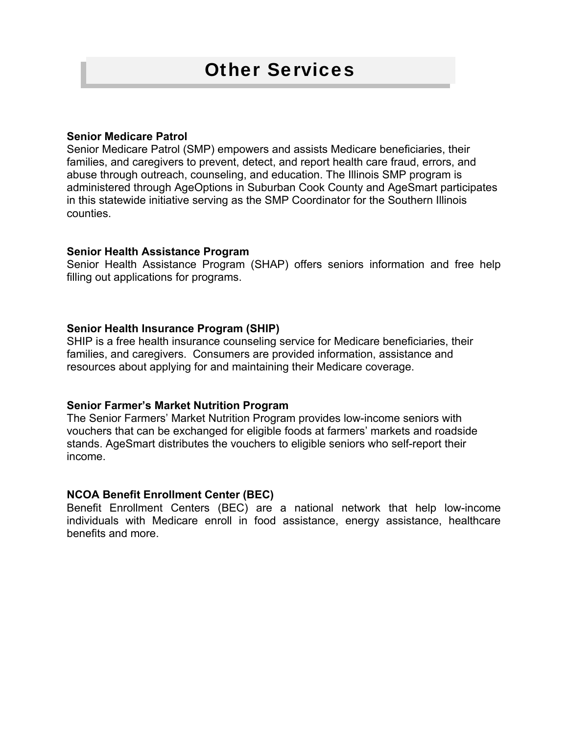# Other Services

#### **Senior Medicare Patrol**

Senior Medicare Patrol (SMP) empowers and assists Medicare beneficiaries, their families, and caregivers to prevent, detect, and report health care fraud, errors, and abuse through outreach, counseling, and education. The Illinois SMP program is administered through AgeOptions in Suburban Cook County and AgeSmart participates in this statewide initiative serving as the SMP Coordinator for the Southern Illinois counties.

#### **Senior Health Assistance Program**

Senior Health Assistance Program (SHAP) offers seniors information and free help filling out applications for programs.

#### **Senior Health Insurance Program (SHIP)**

SHIP is a free health insurance counseling service for Medicare beneficiaries, their families, and caregivers. Consumers are provided information, assistance and resources about applying for and maintaining their Medicare coverage.

#### **Senior Farmer's Market Nutrition Program**

The Senior Farmers' Market Nutrition Program provides low-income seniors with vouchers that can be exchanged for eligible foods at farmers' markets and roadside stands. AgeSmart distributes the vouchers to eligible seniors who self-report their income.

#### **NCOA Benefit Enrollment Center (BEC)**

Benefit Enrollment Centers (BEC) are a national network that help low-income individuals with Medicare enroll in food assistance, energy assistance, healthcare benefits and more.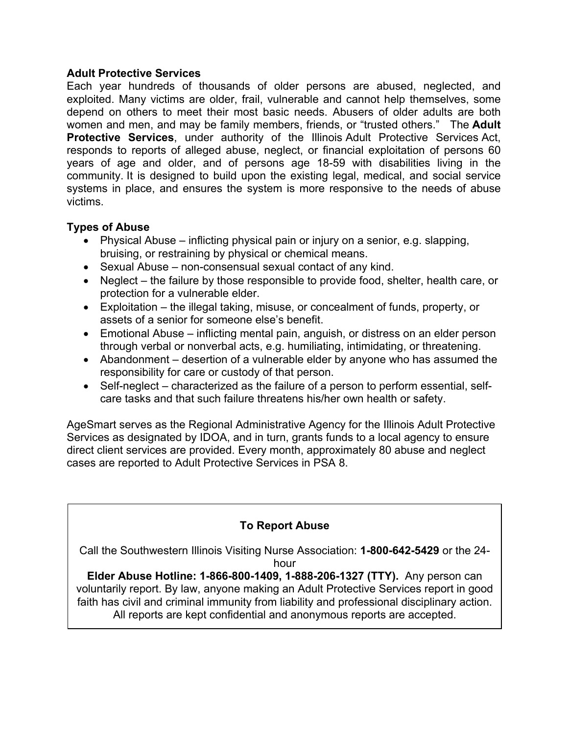#### **Adult Protective Services**

Each year hundreds of thousands of older persons are abused, neglected, and exploited. Many victims are older, frail, vulnerable and cannot help themselves, some depend on others to meet their most basic needs. Abusers of older adults are both women and men, and may be family members, friends, or "trusted others." The **Adult Protective Services**, under authority of the Illinois Adult Protective Services Act, responds to reports of alleged abuse, neglect, or financial exploitation of persons 60 years of age and older, and of persons age 18-59 with disabilities living in the community. It is designed to build upon the existing legal, medical, and social service systems in place, and ensures the system is more responsive to the needs of abuse victims.

#### **Types of Abuse**

- Physical Abuse inflicting physical pain or injury on a senior, e.g. slapping, bruising, or restraining by physical or chemical means.
- Sexual Abuse non-consensual sexual contact of any kind.
- Neglect the failure by those responsible to provide food, shelter, health care, or protection for a vulnerable elder.
- Exploitation the illegal taking, misuse, or concealment of funds, property, or assets of a senior for someone else's benefit.
- Emotional Abuse inflicting mental pain, anguish, or distress on an elder person through verbal or nonverbal acts, e.g. humiliating, intimidating, or threatening.
- Abandonment desertion of a vulnerable elder by anyone who has assumed the responsibility for care or custody of that person.
- Self-neglect characterized as the failure of a person to perform essential, selfcare tasks and that such failure threatens his/her own health or safety.

AgeSmart serves as the Regional Administrative Agency for the Illinois Adult Protective Services as designated by IDOA, and in turn, grants funds to a local agency to ensure direct client services are provided. Every month, approximately 80 abuse and neglect cases are reported to Adult Protective Services in PSA 8.

## **To Report Abuse**

Call the Southwestern Illinois Visiting Nurse Association: **1-800-642-5429** or the 24 hour

**Elder Abuse Hotline: 1-866-800-1409, 1-888-206-1327 (TTY).** Any person can voluntarily report. By law, anyone making an Adult Protective Services report in good faith has civil and criminal immunity from liability and professional disciplinary action. All reports are kept confidential and anonymous reports are accepted.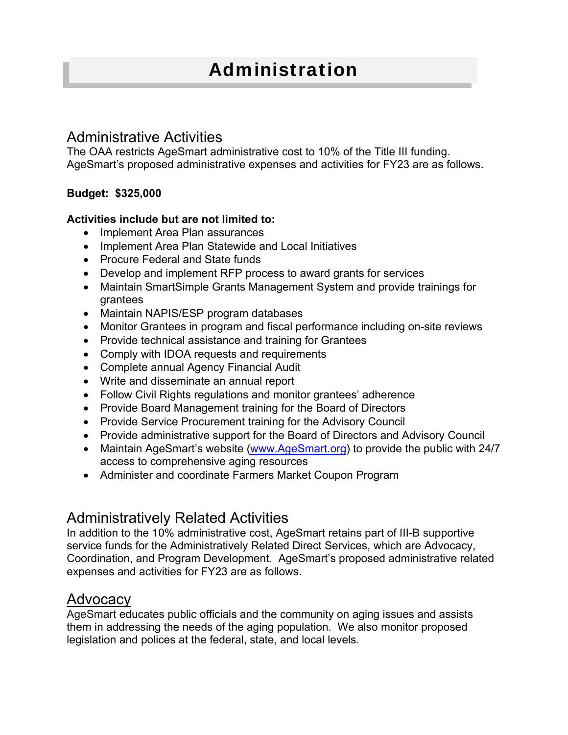# Administrative Activities

The OAA restricts AgeSmart administrative cost to 10% of the Title III funding. AgeSmart's proposed administrative expenses and activities for FY23 are as follows.

## **Budget: \$325,000**

## **Activities include but are not limited to:**

- Implement Area Plan assurances
- Implement Area Plan Statewide and Local Initiatives
- Procure Federal and State funds
- Develop and implement RFP process to award grants for services
- Maintain SmartSimple Grants Management System and provide trainings for grantees
- Maintain NAPIS/ESP program databases
- Monitor Grantees in program and fiscal performance including on-site reviews
- Provide technical assistance and training for Grantees
- Comply with IDOA requests and requirements
- Complete annual Agency Financial Audit
- Write and disseminate an annual report
- Follow Civil Rights regulations and monitor grantees' adherence
- Provide Board Management training for the Board of Directors
- Provide Service Procurement training for the Advisory Council
- Provide administrative support for the Board of Directors and Advisory Council
- Maintain AgeSmart's website (www.AgeSmart.org) to provide the public with 24/7 access to comprehensive aging resources
- Administer and coordinate Farmers Market Coupon Program

# Administratively Related Activities

In addition to the 10% administrative cost, AgeSmart retains part of III-B supportive service funds for the Administratively Related Direct Services, which are Advocacy, Coordination, and Program Development. AgeSmart's proposed administrative related expenses and activities for FY23 are as follows.

# Advocacy

AgeSmart educates public officials and the community on aging issues and assists them in addressing the needs of the aging population. We also monitor proposed legislation and polices at the federal, state, and local levels.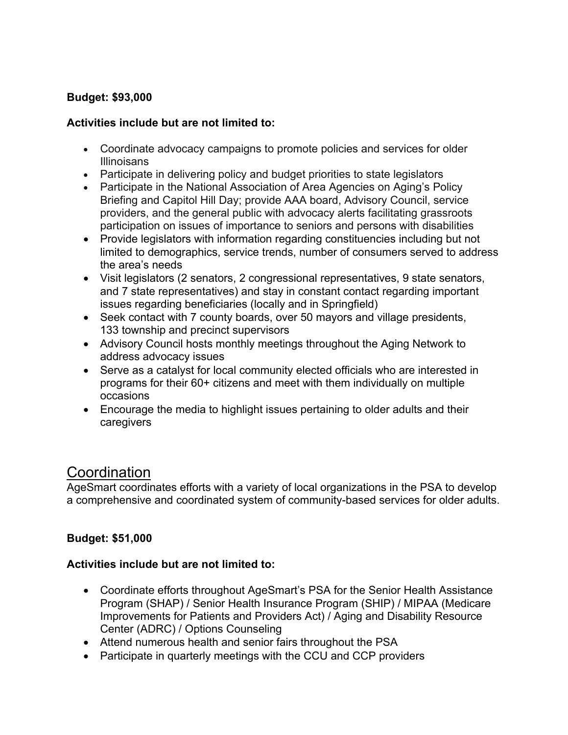## **Budget: \$93,000**

### **Activities include but are not limited to:**

- Coordinate advocacy campaigns to promote policies and services for older **Illinoisans**
- Participate in delivering policy and budget priorities to state legislators
- Participate in the National Association of Area Agencies on Aging's Policy Briefing and Capitol Hill Day; provide AAA board, Advisory Council, service providers, and the general public with advocacy alerts facilitating grassroots participation on issues of importance to seniors and persons with disabilities
- Provide legislators with information regarding constituencies including but not limited to demographics, service trends, number of consumers served to address the area's needs
- Visit legislators (2 senators, 2 congressional representatives, 9 state senators, and 7 state representatives) and stay in constant contact regarding important issues regarding beneficiaries (locally and in Springfield)
- Seek contact with 7 county boards, over 50 mayors and village presidents, 133 township and precinct supervisors
- Advisory Council hosts monthly meetings throughout the Aging Network to address advocacy issues
- Serve as a catalyst for local community elected officials who are interested in programs for their 60+ citizens and meet with them individually on multiple occasions
- Encourage the media to highlight issues pertaining to older adults and their caregivers

# **Coordination**

AgeSmart coordinates efforts with a variety of local organizations in the PSA to develop a comprehensive and coordinated system of community-based services for older adults.

## **Budget: \$51,000**

## **Activities include but are not limited to:**

- Coordinate efforts throughout AgeSmart's PSA for the Senior Health Assistance Program (SHAP) / Senior Health Insurance Program (SHIP) / MIPAA (Medicare Improvements for Patients and Providers Act) / Aging and Disability Resource Center (ADRC) / Options Counseling
- Attend numerous health and senior fairs throughout the PSA
- Participate in quarterly meetings with the CCU and CCP providers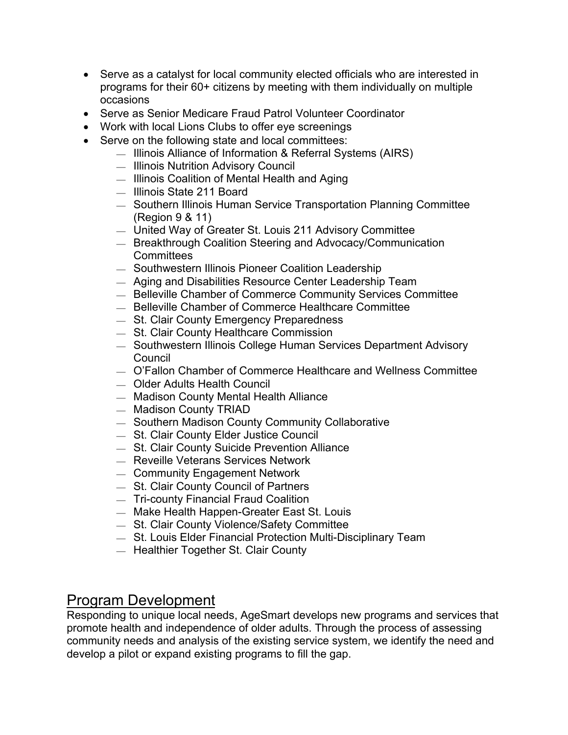- Serve as a catalyst for local community elected officials who are interested in programs for their 60+ citizens by meeting with them individually on multiple occasions
- Serve as Senior Medicare Fraud Patrol Volunteer Coordinator
- Work with local Lions Clubs to offer eye screenings
- Serve on the following state and local committees:
	- $-$  Illinois Alliance of Information & Referral Systems (AIRS)
	- $-$  Illinois Nutrition Advisory Council
	- $\equiv$  Illinois Coalition of Mental Health and Aging
	- Illinois State 211 Board
	- Southern Illinois Human Service Transportation Planning Committee (Region 9 & 11)
	- United Way of Greater St. Louis 211 Advisory Committee
	- $-$  Breakthrough Coalition Steering and Advocacy/Communication **Committees**
	- $-$  Southwestern Illinois Pioneer Coalition Leadership
	- Aging and Disabilities Resource Center Leadership Team
	- $-$  Belleville Chamber of Commerce Community Services Committee
	- Belleville Chamber of Commerce Healthcare Committee
	- $-$  St. Clair County Emergency Preparedness
	- St. Clair County Healthcare Commission
	- $-$  Southwestern Illinois College Human Services Department Advisory Council
	- O'Fallon Chamber of Commerce Healthcare and Wellness Committee
	- Older Adults Health Council
	- Madison County Mental Health Alliance
	- $-$  Madison County TRIAD
	- $-$  Southern Madison County Community Collaborative
	- St. Clair County Elder Justice Council
	- St. Clair County Suicide Prevention Alliance
	- Reveille Veterans Services Network
	- Community Engagement Network
	- St. Clair County Council of Partners
	- $-$  Tri-county Financial Fraud Coalition
	- Make Health Happen-Greater East St. Louis
	- St. Clair County Violence/Safety Committee
	- $-$  St. Louis Elder Financial Protection Multi-Disciplinary Team
	- Healthier Together St. Clair County

# Program Development

Responding to unique local needs, AgeSmart develops new programs and services that promote health and independence of older adults. Through the process of assessing community needs and analysis of the existing service system, we identify the need and develop a pilot or expand existing programs to fill the gap.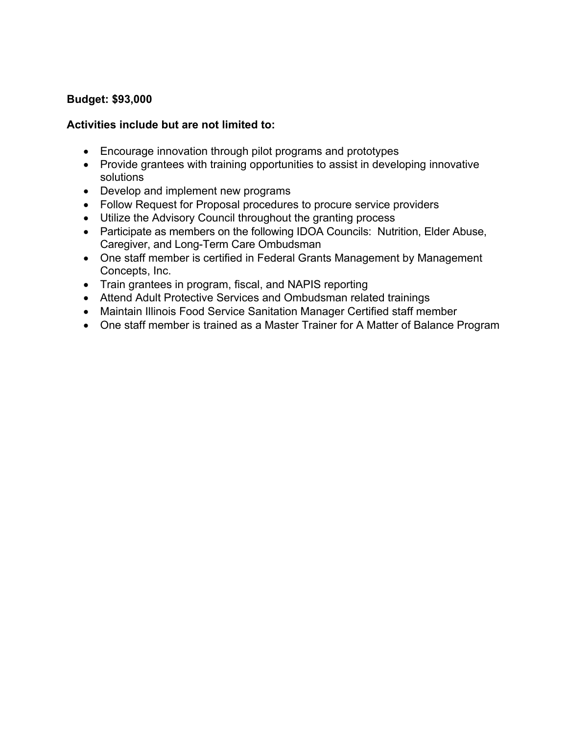## **Budget: \$93,000**

### **Activities include but are not limited to:**

- Encourage innovation through pilot programs and prototypes
- Provide grantees with training opportunities to assist in developing innovative solutions
- Develop and implement new programs
- Follow Request for Proposal procedures to procure service providers
- Utilize the Advisory Council throughout the granting process
- Participate as members on the following IDOA Councils: Nutrition, Elder Abuse, Caregiver, and Long-Term Care Ombudsman
- One staff member is certified in Federal Grants Management by Management Concepts, Inc.
- Train grantees in program, fiscal, and NAPIS reporting
- Attend Adult Protective Services and Ombudsman related trainings
- Maintain Illinois Food Service Sanitation Manager Certified staff member
- One staff member is trained as a Master Trainer for A Matter of Balance Program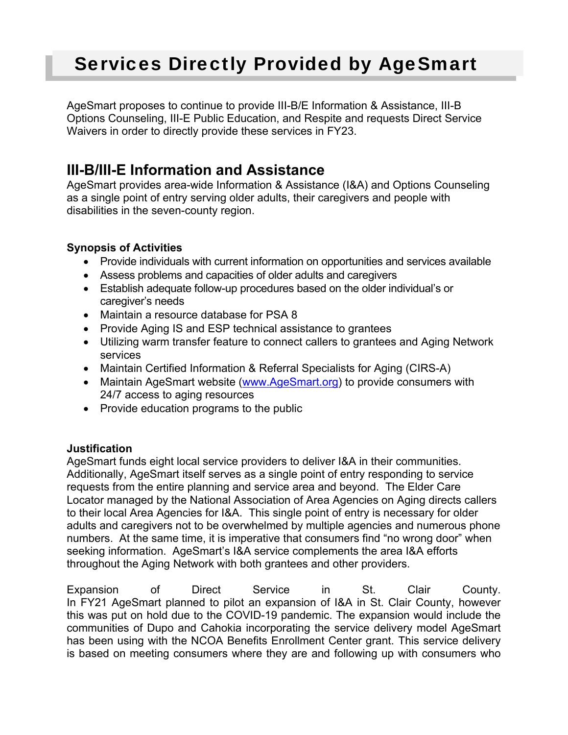# Services Directly Provided by AgeSmart

AgeSmart proposes to continue to provide III-B/E Information & Assistance, III-B Options Counseling, III-E Public Education, and Respite and requests Direct Service Waivers in order to directly provide these services in FY23.

# **III-B/III-E Information and Assistance**

AgeSmart provides area-wide Information & Assistance (I&A) and Options Counseling as a single point of entry serving older adults, their caregivers and people with disabilities in the seven-county region.

## **Synopsis of Activities**

- Provide individuals with current information on opportunities and services available
- Assess problems and capacities of older adults and caregivers
- Establish adequate follow-up procedures based on the older individual's or caregiver's needs
- Maintain a resource database for PSA 8
- Provide Aging IS and ESP technical assistance to grantees
- Utilizing warm transfer feature to connect callers to grantees and Aging Network services
- Maintain Certified Information & Referral Specialists for Aging (CIRS-A)
- Maintain AgeSmart website (www.AgeSmart.org) to provide consumers with 24/7 access to aging resources
- Provide education programs to the public

## **Justification**

AgeSmart funds eight local service providers to deliver I&A in their communities. Additionally, AgeSmart itself serves as a single point of entry responding to service requests from the entire planning and service area and beyond. The Elder Care Locator managed by the National Association of Area Agencies on Aging directs callers to their local Area Agencies for I&A. This single point of entry is necessary for older adults and caregivers not to be overwhelmed by multiple agencies and numerous phone numbers. At the same time, it is imperative that consumers find "no wrong door" when seeking information. AgeSmart's I&A service complements the area I&A efforts throughout the Aging Network with both grantees and other providers.

Expansion of Direct Service in St. Clair County. In FY21 AgeSmart planned to pilot an expansion of I&A in St. Clair County, however this was put on hold due to the COVID-19 pandemic. The expansion would include the communities of Dupo and Cahokia incorporating the service delivery model AgeSmart has been using with the NCOA Benefits Enrollment Center grant. This service delivery is based on meeting consumers where they are and following up with consumers who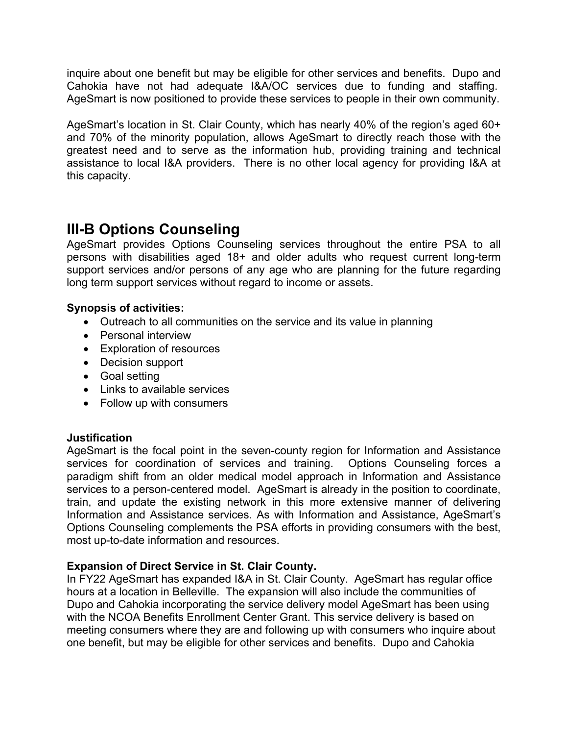inquire about one benefit but may be eligible for other services and benefits. Dupo and Cahokia have not had adequate I&A/OC services due to funding and staffing. AgeSmart is now positioned to provide these services to people in their own community.

AgeSmart's location in St. Clair County, which has nearly 40% of the region's aged 60+ and 70% of the minority population, allows AgeSmart to directly reach those with the greatest need and to serve as the information hub, providing training and technical assistance to local I&A providers. There is no other local agency for providing I&A at this capacity.

# **III-B Options Counseling**

AgeSmart provides Options Counseling services throughout the entire PSA to all persons with disabilities aged 18+ and older adults who request current long-term support services and/or persons of any age who are planning for the future regarding long term support services without regard to income or assets.

## **Synopsis of activities:**

- Outreach to all communities on the service and its value in planning
- Personal interview
- Exploration of resources
- Decision support
- Goal setting
- Links to available services
- Follow up with consumers

## **Justification**

AgeSmart is the focal point in the seven-county region for Information and Assistance services for coordination of services and training. Options Counseling forces a paradigm shift from an older medical model approach in Information and Assistance services to a person-centered model. AgeSmart is already in the position to coordinate, train, and update the existing network in this more extensive manner of delivering Information and Assistance services. As with Information and Assistance, AgeSmart's Options Counseling complements the PSA efforts in providing consumers with the best, most up-to-date information and resources.

## **Expansion of Direct Service in St. Clair County.**

In FY22 AgeSmart has expanded I&A in St. Clair County. AgeSmart has regular office hours at a location in Belleville. The expansion will also include the communities of Dupo and Cahokia incorporating the service delivery model AgeSmart has been using with the NCOA Benefits Enrollment Center Grant. This service delivery is based on meeting consumers where they are and following up with consumers who inquire about one benefit, but may be eligible for other services and benefits. Dupo and Cahokia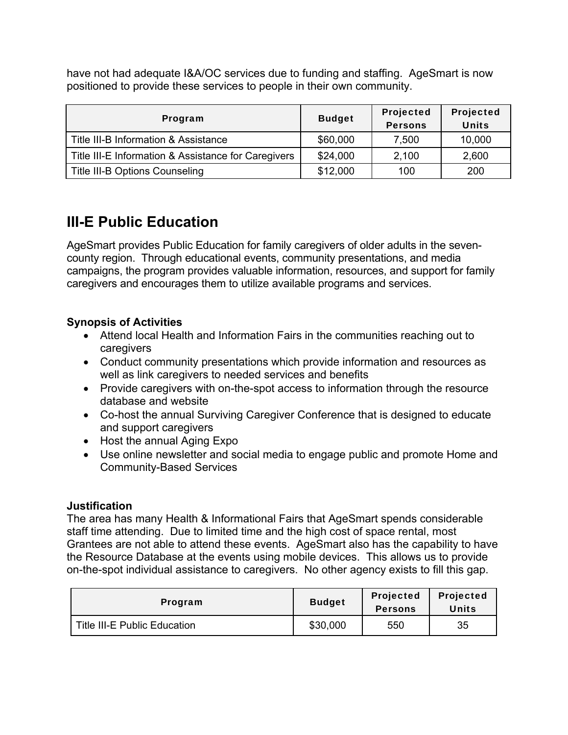have not had adequate I&A/OC services due to funding and staffing. AgeSmart is now positioned to provide these services to people in their own community.

| Program                                             | <b>Budget</b> | Projected<br><b>Persons</b> | Projected<br><b>Units</b> |
|-----------------------------------------------------|---------------|-----------------------------|---------------------------|
| Title III-B Information & Assistance                | \$60,000      | 7,500                       | 10,000                    |
| Title III-E Information & Assistance for Caregivers | \$24,000      | 2,100                       | 2,600                     |
| Title III-B Options Counseling                      | \$12,000      | 100                         | 200                       |

# **III-E Public Education**

AgeSmart provides Public Education for family caregivers of older adults in the sevencounty region. Through educational events, community presentations, and media campaigns, the program provides valuable information, resources, and support for family caregivers and encourages them to utilize available programs and services.

## **Synopsis of Activities**

- Attend local Health and Information Fairs in the communities reaching out to caregivers
- Conduct community presentations which provide information and resources as well as link caregivers to needed services and benefits
- Provide caregivers with on-the-spot access to information through the resource database and website
- Co-host the annual Surviving Caregiver Conference that is designed to educate and support caregivers
- Host the annual Aging Expo
- Use online newsletter and social media to engage public and promote Home and Community-Based Services

## **Justification**

The area has many Health & Informational Fairs that AgeSmart spends considerable staff time attending. Due to limited time and the high cost of space rental, most Grantees are not able to attend these events. AgeSmart also has the capability to have the Resource Database at the events using mobile devices. This allows us to provide on-the-spot individual assistance to caregivers. No other agency exists to fill this gap.

| Program                      | <b>Budget</b> | <b>Projected</b><br><b>Persons</b> | <b>Projected</b><br><b>Units</b> |
|------------------------------|---------------|------------------------------------|----------------------------------|
| Title III-E Public Education | \$30,000      | 550                                | 35                               |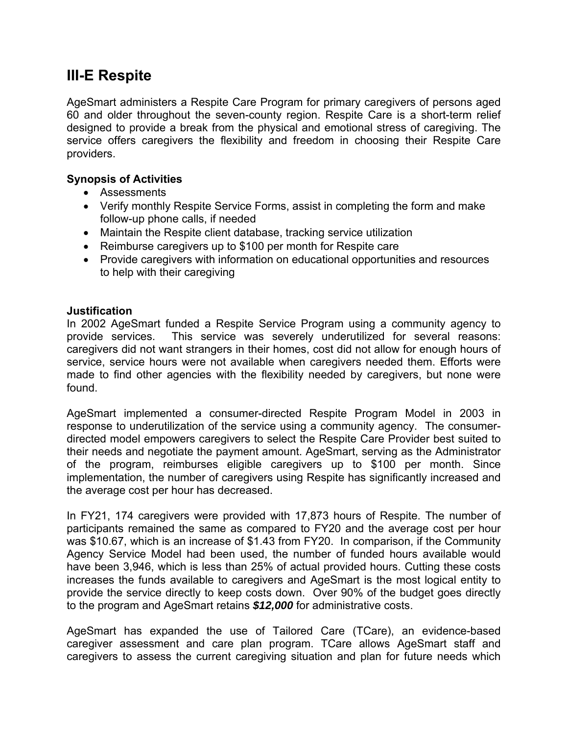# **III-E Respite**

AgeSmart administers a Respite Care Program for primary caregivers of persons aged 60 and older throughout the seven-county region. Respite Care is a short-term relief designed to provide a break from the physical and emotional stress of caregiving. The service offers caregivers the flexibility and freedom in choosing their Respite Care providers.

### **Synopsis of Activities**

- Assessments
- Verify monthly Respite Service Forms, assist in completing the form and make follow-up phone calls, if needed
- Maintain the Respite client database, tracking service utilization
- Reimburse caregivers up to \$100 per month for Respite care
- Provide caregivers with information on educational opportunities and resources to help with their caregiving

#### **Justification**

In 2002 AgeSmart funded a Respite Service Program using a community agency to provide services. This service was severely underutilized for several reasons: caregivers did not want strangers in their homes, cost did not allow for enough hours of service, service hours were not available when caregivers needed them. Efforts were made to find other agencies with the flexibility needed by caregivers, but none were found.

AgeSmart implemented a consumer-directed Respite Program Model in 2003 in response to underutilization of the service using a community agency. The consumerdirected model empowers caregivers to select the Respite Care Provider best suited to their needs and negotiate the payment amount. AgeSmart, serving as the Administrator of the program, reimburses eligible caregivers up to \$100 per month. Since implementation, the number of caregivers using Respite has significantly increased and the average cost per hour has decreased.

In FY21, 174 caregivers were provided with 17,873 hours of Respite. The number of participants remained the same as compared to FY20 and the average cost per hour was \$10.67, which is an increase of \$1.43 from FY20. In comparison, if the Community Agency Service Model had been used, the number of funded hours available would have been 3,946, which is less than 25% of actual provided hours. Cutting these costs increases the funds available to caregivers and AgeSmart is the most logical entity to provide the service directly to keep costs down. Over 90% of the budget goes directly to the program and AgeSmart retains *\$12,000* for administrative costs.

AgeSmart has expanded the use of Tailored Care (TCare), an evidence-based caregiver assessment and care plan program. TCare allows AgeSmart staff and caregivers to assess the current caregiving situation and plan for future needs which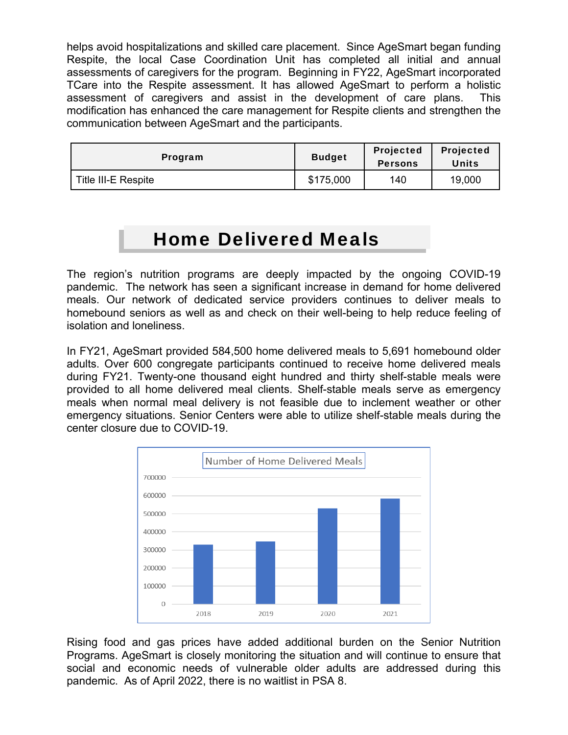helps avoid hospitalizations and skilled care placement. Since AgeSmart began funding Respite, the local Case Coordination Unit has completed all initial and annual assessments of caregivers for the program. Beginning in FY22, AgeSmart incorporated TCare into the Respite assessment. It has allowed AgeSmart to perform a holistic assessment of caregivers and assist in the development of care plans. This modification has enhanced the care management for Respite clients and strengthen the communication between AgeSmart and the participants.

| Program                    | <b>Budget</b> | <b>Projected</b><br><b>Persons</b> | <b>Projected</b><br><b>Units</b> |
|----------------------------|---------------|------------------------------------|----------------------------------|
| <b>Title III-E Respite</b> | \$175,000     | 140                                | 19,000                           |

# Home Delivered Meals

The region's nutrition programs are deeply impacted by the ongoing COVID-19 pandemic. The network has seen a significant increase in demand for home delivered meals. Our network of dedicated service providers continues to deliver meals to homebound seniors as well as and check on their well-being to help reduce feeling of isolation and loneliness.

In FY21, AgeSmart provided 584,500 home delivered meals to 5,691 homebound older adults. Over 600 congregate participants continued to receive home delivered meals during FY21. Twenty-one thousand eight hundred and thirty shelf-stable meals were provided to all home delivered meal clients. Shelf-stable meals serve as emergency meals when normal meal delivery is not feasible due to inclement weather or other emergency situations. Senior Centers were able to utilize shelf-stable meals during the center closure due to COVID-19.



Rising food and gas prices have added additional burden on the Senior Nutrition Programs. AgeSmart is closely monitoring the situation and will continue to ensure that social and economic needs of vulnerable older adults are addressed during this pandemic. As of April 2022, there is no waitlist in PSA 8.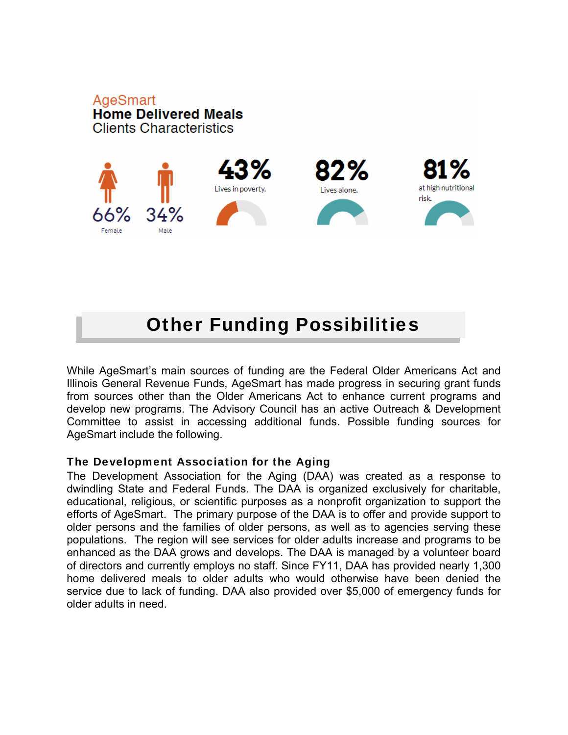

# Other Funding Possibilities

While AgeSmart's main sources of funding are the Federal Older Americans Act and Illinois General Revenue Funds, AgeSmart has made progress in securing grant funds from sources other than the Older Americans Act to enhance current programs and develop new programs. The Advisory Council has an active Outreach & Development Committee to assist in accessing additional funds. Possible funding sources for AgeSmart include the following.

#### The Development Association for the Aging

**AgeSmart** 

The Development Association for the Aging (DAA) was created as a response to dwindling State and Federal Funds. The DAA is organized exclusively for charitable, educational, religious, or scientific purposes as a nonprofit organization to support the efforts of AgeSmart. The primary purpose of the DAA is to offer and provide support to older persons and the families of older persons, as well as to agencies serving these populations. The region will see services for older adults increase and programs to be enhanced as the DAA grows and develops. The DAA is managed by a volunteer board of directors and currently employs no staff. Since FY11, DAA has provided nearly 1,300 home delivered meals to older adults who would otherwise have been denied the service due to lack of funding. DAA also provided over \$5,000 of emergency funds for older adults in need.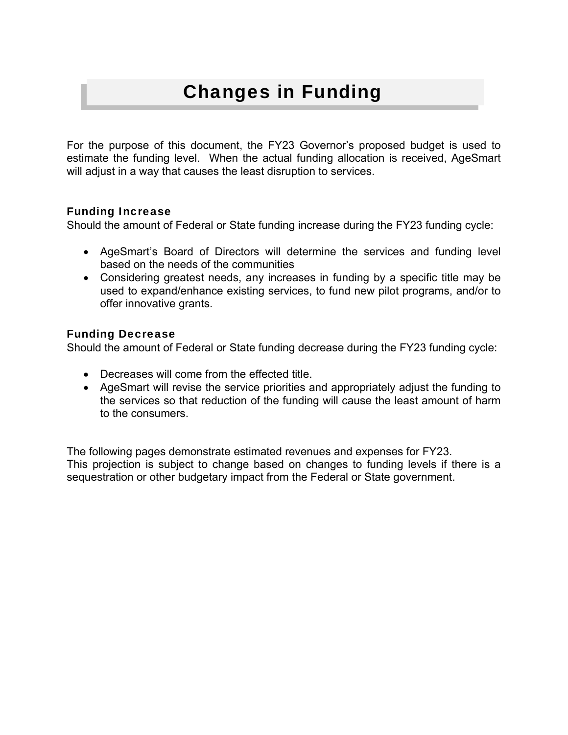# Changes in Funding

For the purpose of this document, the FY23 Governor's proposed budget is used to estimate the funding level. When the actual funding allocation is received, AgeSmart will adjust in a way that causes the least disruption to services.

### Funding Increase

Should the amount of Federal or State funding increase during the FY23 funding cycle:

- AgeSmart's Board of Directors will determine the services and funding level based on the needs of the communities
- Considering greatest needs, any increases in funding by a specific title may be used to expand/enhance existing services, to fund new pilot programs, and/or to offer innovative grants.

### Funding Decrease

Should the amount of Federal or State funding decrease during the FY23 funding cycle:

- Decreases will come from the effected title.
- AgeSmart will revise the service priorities and appropriately adjust the funding to the services so that reduction of the funding will cause the least amount of harm to the consumers.

The following pages demonstrate estimated revenues and expenses for FY23. This projection is subject to change based on changes to funding levels if there is a sequestration or other budgetary impact from the Federal or State government.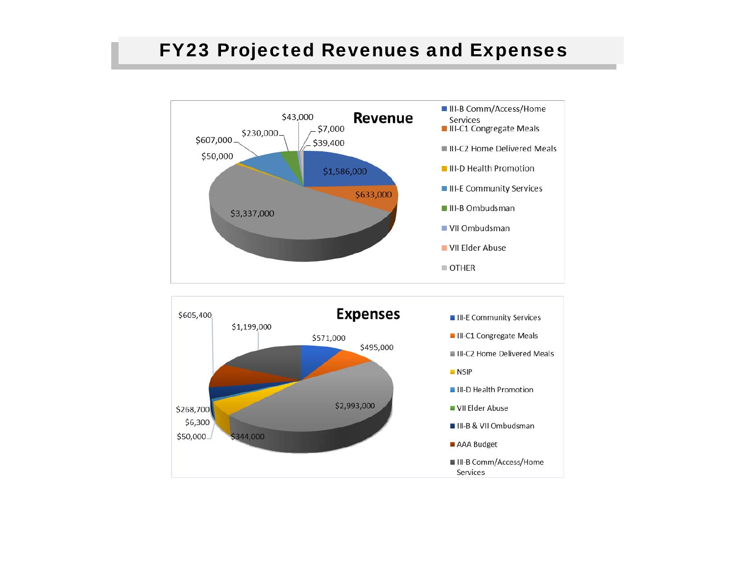# FY23 Projected Revenues and Expenses

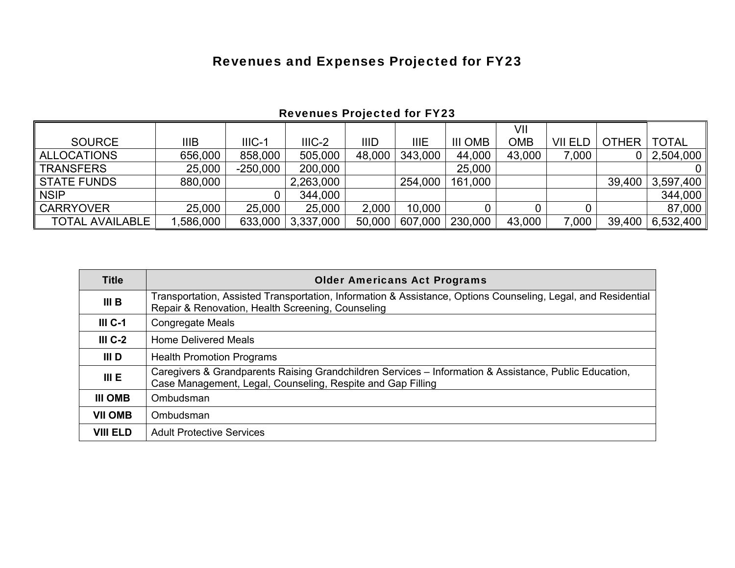# Revenues and Expenses Projected for FY23

|                        |             |            |           |        |             |                | VII        |         |              |              |
|------------------------|-------------|------------|-----------|--------|-------------|----------------|------------|---------|--------------|--------------|
| <b>SOURCE</b>          | <b>IIIB</b> | $IIIC-1$   | $IIIC-2$  | IIID   | <b>IIIE</b> | <b>III OMB</b> | <b>OMB</b> | VII ELD | <b>OTHER</b> | <b>TOTAL</b> |
| <b>ALLOCATIONS</b>     | 656,000     | 858,000    | 505,000   | 48,000 | 343,000     | 44,000         | 43,000     | 7,000   |              | 2,504,000    |
| <b>TRANSFERS</b>       | 25,000      | $-250,000$ | 200,000   |        |             | 25,000         |            |         |              |              |
| <b>STATE FUNDS</b>     | 880,000     |            | 2,263,000 |        | 254,000     | 161,000        |            |         | 39,400       | 3,597,400    |
| <b>NSIP</b>            |             |            | 344,000   |        |             |                |            |         |              | 344,000      |
| <b>CARRYOVER</b>       | 25,000      | 25,000     | 25,000    | 2,000  | 10,000      |                |            |         |              | 87,000       |
| <b>TOTAL AVAILABLE</b> | ,586,000    | 633,000    | 3,337,000 | 50,000 | 607,000     | 230,000        | 43,000     | 7,000   | 39,400       | 6,532,400    |

# Revenues Projected for FY23

| <b>Title</b>     | <b>Older Americans Act Programs</b>                                                                                                                                   |
|------------------|-----------------------------------------------------------------------------------------------------------------------------------------------------------------------|
| III <sub>B</sub> | Transportation, Assisted Transportation, Information & Assistance, Options Counseling, Legal, and Residential<br>Repair & Renovation, Health Screening, Counseling    |
| $IIIC-1$         | <b>Congregate Meals</b>                                                                                                                                               |
| $IIIC-2$         | <b>Home Delivered Meals</b>                                                                                                                                           |
| III D            | <b>Health Promotion Programs</b>                                                                                                                                      |
| III E            | Caregivers & Grandparents Raising Grandchildren Services – Information & Assistance, Public Education,<br>Case Management, Legal, Counseling, Respite and Gap Filling |
| <b>III OMB</b>   | Ombudsman                                                                                                                                                             |
| <b>VII OMB</b>   | Ombudsman                                                                                                                                                             |
| <b>VIII ELD</b>  | <b>Adult Protective Services</b>                                                                                                                                      |